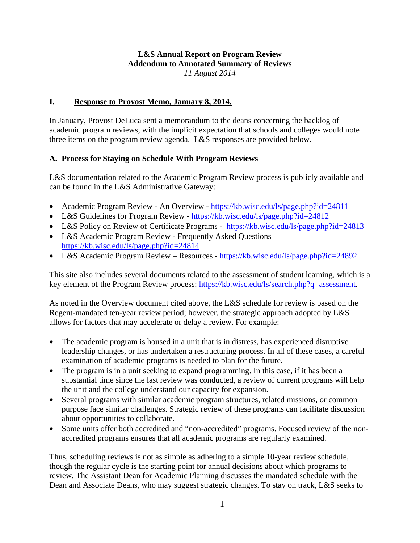#### **L&S Annual Report on Program Review Addendum to Annotated Summary of Reviews**  *11 August 2014*

#### **I. Response to Provost Memo, January 8, 2014.**

In January, Provost DeLuca sent a memorandum to the deans concerning the backlog of academic program reviews, with the implicit expectation that schools and colleges would note three items on the program review agenda. L&S responses are provided below.

#### **A. Process for Staying on Schedule With Program Reviews**

L&S documentation related to the Academic Program Review process is publicly available and can be found in the L&S Administrative Gateway:

- Academic Program Review An Overview https://kb.wisc.edu/ls/page.php?id=24811
- L&S Guidelines for Program Review https://kb.wisc.edu/ls/page.php?id=24812
- L&S Policy on Review of Certificate Programs https://kb.wisc.edu/ls/page.php?id=24813
- L&S Academic Program Review Frequently Asked Questions https://kb.wisc.edu/ls/page.php?id=24814
- L&S Academic Program Review Resources https://kb.wisc.edu/ls/page.php?id=24892

This site also includes several documents related to the assessment of student learning, which is a key element of the Program Review process: https://kb.wisc.edu/ls/search.php?q=assessment.

As noted in the Overview document cited above, the L&S schedule for review is based on the Regent-mandated ten-year review period; however, the strategic approach adopted by L&S allows for factors that may accelerate or delay a review. For example:

- The academic program is housed in a unit that is in distress, has experienced disruptive leadership changes, or has undertaken a restructuring process. In all of these cases, a careful examination of academic programs is needed to plan for the future.
- The program is in a unit seeking to expand programming. In this case, if it has been a substantial time since the last review was conducted, a review of current programs will help the unit and the college understand our capacity for expansion.
- Several programs with similar academic program structures, related missions, or common purpose face similar challenges. Strategic review of these programs can facilitate discussion about opportunities to collaborate.
- Some units offer both accredited and "non-accredited" programs. Focused review of the nonaccredited programs ensures that all academic programs are regularly examined.

Thus, scheduling reviews is not as simple as adhering to a simple 10-year review schedule, though the regular cycle is the starting point for annual decisions about which programs to review. The Assistant Dean for Academic Planning discusses the mandated schedule with the Dean and Associate Deans, who may suggest strategic changes. To stay on track, L&S seeks to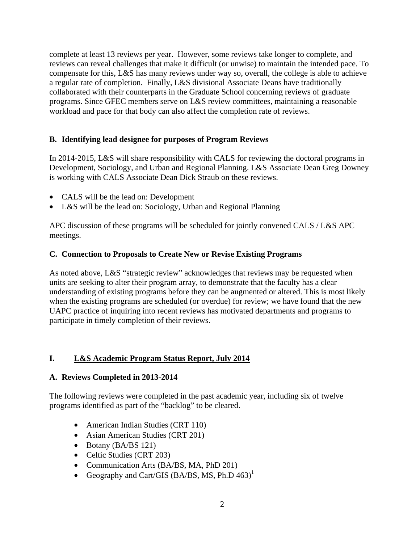complete at least 13 reviews per year. However, some reviews take longer to complete, and reviews can reveal challenges that make it difficult (or unwise) to maintain the intended pace. To compensate for this, L&S has many reviews under way so, overall, the college is able to achieve a regular rate of completion. Finally, L&S divisional Associate Deans have traditionally collaborated with their counterparts in the Graduate School concerning reviews of graduate programs. Since GFEC members serve on L&S review committees, maintaining a reasonable workload and pace for that body can also affect the completion rate of reviews.

#### **B. Identifying lead designee for purposes of Program Reviews**

In 2014-2015, L&S will share responsibility with CALS for reviewing the doctoral programs in Development, Sociology, and Urban and Regional Planning. L&S Associate Dean Greg Downey is working with CALS Associate Dean Dick Straub on these reviews.

- CALS will be the lead on: Development
- L&S will be the lead on: Sociology, Urban and Regional Planning

APC discussion of these programs will be scheduled for jointly convened CALS / L&S APC meetings.

#### **C. Connection to Proposals to Create New or Revise Existing Programs**

As noted above, L&S "strategic review" acknowledges that reviews may be requested when units are seeking to alter their program array, to demonstrate that the faculty has a clear understanding of existing programs before they can be augmented or altered. This is most likely when the existing programs are scheduled (or overdue) for review; we have found that the new UAPC practice of inquiring into recent reviews has motivated departments and programs to participate in timely completion of their reviews.

#### **I. L&S Academic Program Status Report, July 2014**

#### **A. Reviews Completed in 2013-2014**

The following reviews were completed in the past academic year, including six of twelve programs identified as part of the "backlog" to be cleared.

- American Indian Studies (CRT 110)
- Asian American Studies (CRT 201)
- Botany (BA/BS 121)
- Celtic Studies (CRT 203)
- Communication Arts (BA/BS, MA, PhD 201)
- Geography and Cart/GIS (BA/BS, MS, Ph.D  $463$ )<sup>1</sup>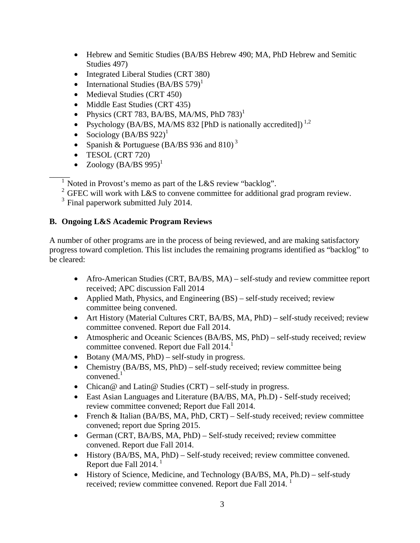- Hebrew and Semitic Studies (BA/BS Hebrew 490; MA, PhD Hebrew and Semitic Studies 497)
- Integrated Liberal Studies (CRT 380)
- International Studies  $(BA/BS 579)^1$
- Medieval Studies (CRT 450)
- Middle East Studies (CRT 435)
- Physics (CRT 783, BA/BS, MA/MS, PhD  $783$ )<sup>1</sup>
- Psychology (BA/BS, MA/MS 832 [PhD is nationally accredited])<sup>1,2</sup>
- Sociology  $(BA/BS 922)^1$
- Spanish & Portuguese (BA/BS 936 and 810)<sup>3</sup>
- TESOL (CRT 720)
- Zoology  $(BA/BS 995)^1$

 $\overline{1}$  Noted in Provost's memo as part of the L&S review "backlog".

<sup>2</sup> GFEC will work with L&S to convene committee for additional grad program review.

 $3$  Final paperwork submitted July 2014.

# **B. Ongoing L&S Academic Program Reviews**

A number of other programs are in the process of being reviewed, and are making satisfactory progress toward completion. This list includes the remaining programs identified as "backlog" to be cleared:

- Afro-American Studies (CRT, BA/BS, MA) self-study and review committee report received; APC discussion Fall 2014
- Applied Math, Physics, and Engineering (BS) self-study received; review committee being convened.
- Art History (Material Cultures CRT, BA/BS, MA, PhD) self-study received; review committee convened. Report due Fall 2014.
- Atmospheric and Oceanic Sciences (BA/BS, MS, PhD) self-study received; review committee convened. Report due Fall 2014.<sup>1</sup>
- Botany (MA/MS, PhD) self-study in progress.
- Chemistry (BA/BS, MS, PhD) self-study received; review committee being convened $<sup>1</sup>$ </sup>
- Chican@ and Latin@ Studies (CRT) self-study in progress.
- East Asian Languages and Literature (BA/BS, MA, Ph.D) Self-study received; review committee convened; Report due Fall 2014.
- French & Italian (BA/BS, MA, PhD, CRT) Self-study received; review committee convened; report due Spring 2015.
- German (CRT, BA/BS, MA, PhD) Self-study received; review committee convened. Report due Fall 2014.
- History (BA/BS, MA, PhD) Self-study received; review committee convened. Report due Fall  $2014.<sup>1</sup>$
- History of Science, Medicine, and Technology (BA/BS, MA, Ph.D) self-study received; review committee convened. Report due Fall 2014.<sup>1</sup>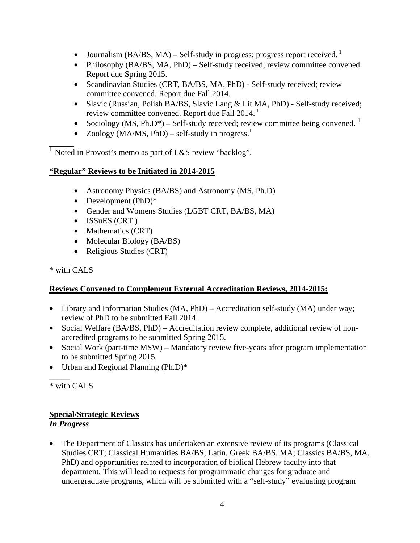- Journalism  $(BA/BS, MA)$  Self-study in progress; progress report received.<sup>1</sup>
- Philosophy (BA/BS, MA, PhD) Self-study received; review committee convened. Report due Spring 2015.
- Scandinavian Studies (CRT, BA/BS, MA, PhD) Self-study received; review committee convened. Report due Fall 2014.
- Slavic (Russian, Polish BA/BS, Slavic Lang & Lit MA, PhD) Self-study received; review committee convened. Report due Fall 2014.<sup>1</sup>
- Sociology (MS, Ph.D\*) Self-study received; review committee being convened.  $\frac{1}{1}$
- Zoology (MA/MS, PhD) self-study in progress.<sup>1</sup>

 $\overline{\phantom{a}}$ <sup>1</sup> Noted in Provost's memo as part of L&S review "backlog".

### **"Regular" Reviews to be Initiated in 2014-2015**

- Astronomy Physics (BA/BS) and Astronomy (MS, Ph.D)
- Development (PhD)<sup>\*</sup>
- Gender and Womens Studies (LGBT CRT, BA/BS, MA)
- ISSuES (CRT)
- Mathematics (CRT)
- Molecular Biology (BA/BS)
- Religious Studies (CRT)

#### $\overline{\phantom{a}}$ \* with CALS

### **Reviews Convened to Complement External Accreditation Reviews, 2014-2015:**

- Library and Information Studies (MA, PhD) Accreditation self-study (MA) under way; review of PhD to be submitted Fall 2014.
- Social Welfare (BA/BS, PhD) Accreditation review complete, additional review of nonaccredited programs to be submitted Spring 2015.
- Social Work (part-time MSW) Mandatory review five-years after program implementation to be submitted Spring 2015.
- Urban and Regional Planning (Ph.D)\*

 $\overline{\phantom{a}}$ \* with CALS

### **Special/Strategic Reviews**

### *In Progress*

• The Department of Classics has undertaken an extensive review of its programs (Classical Studies CRT; Classical Humanities BA/BS; Latin, Greek BA/BS, MA; Classics BA/BS, MA, PhD) and opportunities related to incorporation of biblical Hebrew faculty into that department. This will lead to requests for programmatic changes for graduate and undergraduate programs, which will be submitted with a "self-study" evaluating program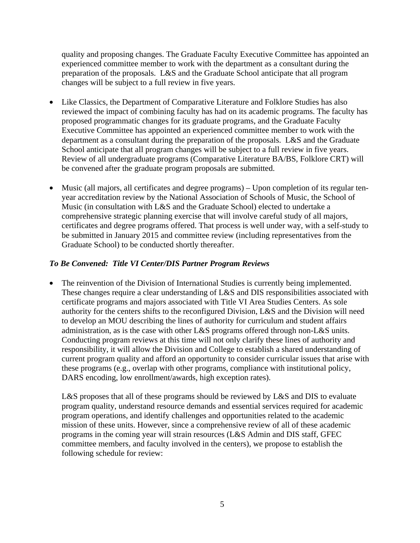quality and proposing changes. The Graduate Faculty Executive Committee has appointed an experienced committee member to work with the department as a consultant during the preparation of the proposals. L&S and the Graduate School anticipate that all program changes will be subject to a full review in five years.

- Like Classics, the Department of Comparative Literature and Folklore Studies has also reviewed the impact of combining faculty has had on its academic programs. The faculty has proposed programmatic changes for its graduate programs, and the Graduate Faculty Executive Committee has appointed an experienced committee member to work with the department as a consultant during the preparation of the proposals. L&S and the Graduate School anticipate that all program changes will be subject to a full review in five years. Review of all undergraduate programs (Comparative Literature BA/BS, Folklore CRT) will be convened after the graduate program proposals are submitted.
- Music (all majors, all certificates and degree programs) Upon completion of its regular tenyear accreditation review by the National Association of Schools of Music, the School of Music (in consultation with L&S and the Graduate School) elected to undertake a comprehensive strategic planning exercise that will involve careful study of all majors, certificates and degree programs offered. That process is well under way, with a self-study to be submitted in January 2015 and committee review (including representatives from the Graduate School) to be conducted shortly thereafter.

#### *To Be Convened: Title VI Center/DIS Partner Program Reviews*

The reinvention of the Division of International Studies is currently being implemented. These changes require a clear understanding of L&S and DIS responsibilities associated with certificate programs and majors associated with Title VI Area Studies Centers. As sole authority for the centers shifts to the reconfigured Division, L&S and the Division will need to develop an MOU describing the lines of authority for curriculum and student affairs administration, as is the case with other L&S programs offered through non-L&S units. Conducting program reviews at this time will not only clarify these lines of authority and responsibility, it will allow the Division and College to establish a shared understanding of current program quality and afford an opportunity to consider curricular issues that arise with these programs (e.g., overlap with other programs, compliance with institutional policy, DARS encoding, low enrollment/awards, high exception rates).

L&S proposes that all of these programs should be reviewed by L&S and DIS to evaluate program quality, understand resource demands and essential services required for academic program operations, and identify challenges and opportunities related to the academic mission of these units. However, since a comprehensive review of all of these academic programs in the coming year will strain resources (L&S Admin and DIS staff, GFEC committee members, and faculty involved in the centers), we propose to establish the following schedule for review: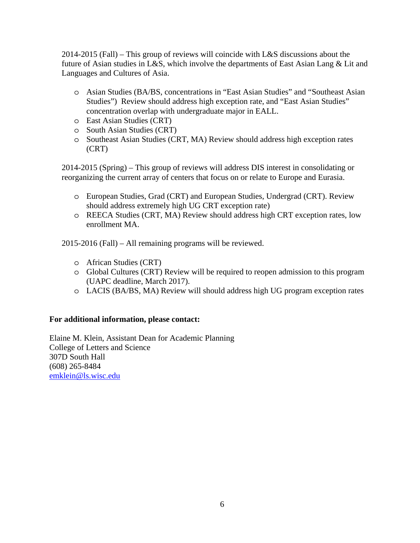2014-2015 (Fall) – This group of reviews will coincide with L&S discussions about the future of Asian studies in L&S, which involve the departments of East Asian Lang & Lit and Languages and Cultures of Asia.

- o Asian Studies (BA/BS, concentrations in "East Asian Studies" and "Southeast Asian Studies") Review should address high exception rate, and "East Asian Studies" concentration overlap with undergraduate major in EALL.
- o East Asian Studies (CRT)
- o South Asian Studies (CRT)
- o Southeast Asian Studies (CRT, MA) Review should address high exception rates (CRT)

2014-2015 (Spring) – This group of reviews will address DIS interest in consolidating or reorganizing the current array of centers that focus on or relate to Europe and Eurasia.

- o European Studies, Grad (CRT) and European Studies, Undergrad (CRT). Review should address extremely high UG CRT exception rate)
- o REECA Studies (CRT, MA) Review should address high CRT exception rates, low enrollment MA.

2015-2016 (Fall) – All remaining programs will be reviewed.

- o African Studies (CRT)
- o Global Cultures (CRT) Review will be required to reopen admission to this program (UAPC deadline, March 2017).
- o LACIS (BA/BS, MA) Review will should address high UG program exception rates

#### **For additional information, please contact:**

Elaine M. Klein, Assistant Dean for Academic Planning College of Letters and Science 307D South Hall (608) 265-8484 emklein@ls.wisc.edu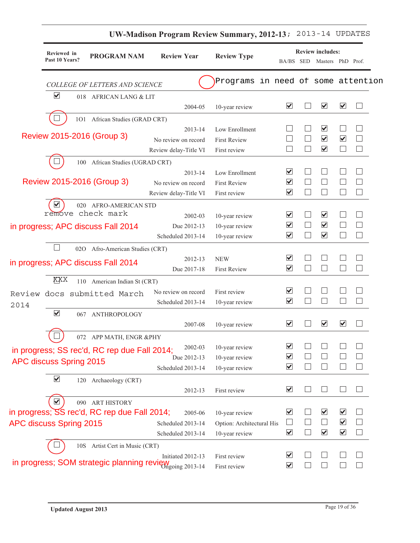|      |                                           |                                                       |                       | <b>UW-Madison Program Review Summary, 2012-13;</b> |                                                         |                                | 2013-14 UPDATES                                 |                         |                          |
|------|-------------------------------------------|-------------------------------------------------------|-----------------------|----------------------------------------------------|---------------------------------------------------------|--------------------------------|-------------------------------------------------|-------------------------|--------------------------|
|      | Reviewed in<br>Past 10 Years?             | <b>PROGRAM NAM</b>                                    | <b>Review Year</b>    | <b>Review Type</b>                                 |                                                         |                                | <b>Review includes:</b>                         |                         |                          |
|      |                                           |                                                       |                       |                                                    | BA/BS SED                                               |                                | Masters PhD Prof.                               |                         |                          |
|      |                                           | COLLEGE OF LETTERS AND SCIENCE                        |                       | Programs in need of some attention                 |                                                         |                                |                                                 |                         |                          |
|      | $\blacktriangledown$                      | 018 AFRICAN LANG & LIT                                |                       |                                                    |                                                         |                                |                                                 |                         |                          |
|      |                                           |                                                       | 2004-05               | 10-year review                                     | $\blacktriangledown$                                    |                                | $\blacktriangledown$                            | $\blacktriangledown$    |                          |
|      |                                           | 101 African Studies (GRAD CRT)                        |                       |                                                    |                                                         |                                |                                                 |                         |                          |
|      | Review 2015-2016 (Group 3)                |                                                       | 2013-14               | Low Enrollment                                     |                                                         |                                | $\blacktriangledown$                            |                         |                          |
|      |                                           |                                                       | No review on record   | <b>First Review</b>                                |                                                         |                                | $\overline{\mathbf{v}}$                         | $\overline{\mathbf{v}}$ |                          |
|      |                                           |                                                       | Review delay-Title VI | First review                                       |                                                         |                                | $\overline{\mathbf{v}}$                         |                         |                          |
|      | 100                                       | African Studies (UGRAD CRT)                           |                       |                                                    |                                                         |                                |                                                 |                         |                          |
|      |                                           |                                                       | 2013-14               | Low Enrollment                                     | $\blacktriangledown$                                    |                                |                                                 |                         | $\overline{\phantom{a}}$ |
|      | Review 2015-2016 (Group 3)                |                                                       | No review on record   | <b>First Review</b>                                | $\overline{\blacktriangledown}$<br>$\blacktriangledown$ |                                |                                                 |                         |                          |
|      |                                           |                                                       | Review delay-Title VI | First review                                       |                                                         |                                |                                                 |                         |                          |
|      | $\blacktriangledown$<br>remove check mark | 020 AFRO-AMERICAN STD                                 |                       |                                                    |                                                         |                                |                                                 |                         |                          |
|      |                                           |                                                       | 2002-03               | 10-year review                                     | $\blacktriangledown$                                    |                                | ⊻                                               |                         |                          |
|      |                                           | in progress; APC discuss Fall 2014                    | Due 2012-13           | 10-year review                                     | $\overline{\mathbf{v}}$<br>$\blacktriangledown$         | $\overline{\phantom{a}}$<br>×. | $\overline{\mathbf{v}}$<br>$\blacktriangledown$ |                         |                          |
|      |                                           |                                                       | Scheduled 2013-14     | 10-year review                                     |                                                         |                                |                                                 |                         |                          |
|      | 020                                       | Afro-American Studies (CRT)                           |                       |                                                    | $\overline{\mathbf{v}}$                                 |                                |                                                 |                         |                          |
|      |                                           | in progress; APC discuss Fall 2014                    | 2012-13               | <b>NEW</b>                                         | $\blacktriangledown$                                    |                                |                                                 |                         |                          |
|      |                                           |                                                       | Due 2017-18           | <b>First Review</b>                                |                                                         |                                |                                                 |                         |                          |
|      | XXX                                       | 110 American Indian St (CRT)                          |                       |                                                    |                                                         |                                |                                                 |                         |                          |
|      |                                           | Review docs submitted March                           | No review on record   | First review                                       | $\blacktriangledown$<br>$\blacktriangledown$            |                                |                                                 |                         |                          |
| 2014 |                                           |                                                       | Scheduled 2013-14     | 10-year review                                     |                                                         |                                |                                                 |                         |                          |
|      | $\blacktriangledown$                      | 067 ANTHROPOLOGY                                      |                       |                                                    |                                                         |                                |                                                 |                         |                          |
|      |                                           |                                                       | 2007-08               | 10-year review                                     | $\blacktriangledown$                                    |                                | $\overline{\mathbf{v}}$                         | $\blacktriangledown$    |                          |
|      | $\cup$                                    | 072 APP MATH, ENGR &PHY                               |                       |                                                    |                                                         |                                |                                                 |                         |                          |
|      |                                           | in progress; SS rec'd, RC rep due Fall 2014;          | 2002-03               | 10-year review                                     | $\blacktriangledown$                                    |                                |                                                 |                         |                          |
|      | APC discuss Spring 2015                   |                                                       | Due 2012-13           | 10-year review                                     | $\blacktriangledown$<br>$\overline{\blacktriangledown}$ |                                |                                                 |                         | $\mathcal{L}$            |
|      |                                           |                                                       | Scheduled 2013-14     | 10-year review                                     |                                                         |                                |                                                 |                         |                          |
|      | $\blacktriangledown$<br>120               | Archaeology (CRT)                                     |                       |                                                    |                                                         |                                |                                                 |                         |                          |
|      |                                           |                                                       | 2012-13               | First review                                       | $\blacktriangledown$                                    |                                |                                                 |                         |                          |
|      | $\overline{\blacktriangledown}$           | 090 ART HISTORY                                       |                       |                                                    |                                                         |                                |                                                 |                         |                          |
|      |                                           | in progress; SS rec'd, RC rep due Fall 2014;          | 2005-06               | 10-year review                                     | $\blacktriangledown$                                    |                                | $\blacktriangledown$                            | $\blacktriangledown$    | $\mathcal{L}$            |
|      | APC discuss Spring 2015                   |                                                       | Scheduled 2013-14     | Option: Architectural His                          | $\vert \ \ \vert$                                       |                                |                                                 | $\blacktriangledown$    | $\Box$                   |
|      |                                           |                                                       | Scheduled 2013-14     | 10-year review                                     | $\blacktriangledown$                                    |                                | $\overline{\mathbf{v}}$                         | $\blacktriangledown$    | $\Box$                   |
|      | 10S                                       | Artist Cert in Music (CRT)                            |                       |                                                    |                                                         |                                |                                                 |                         |                          |
|      |                                           | in progress; SOM strategic planning review on 2013-14 | Initiated 2012-13     | First review                                       | $\blacktriangledown$                                    |                                |                                                 |                         | $\vert \ \ \vert$        |
|      |                                           |                                                       |                       | First review                                       | $\blacktriangledown$                                    |                                |                                                 |                         | $\Box$                   |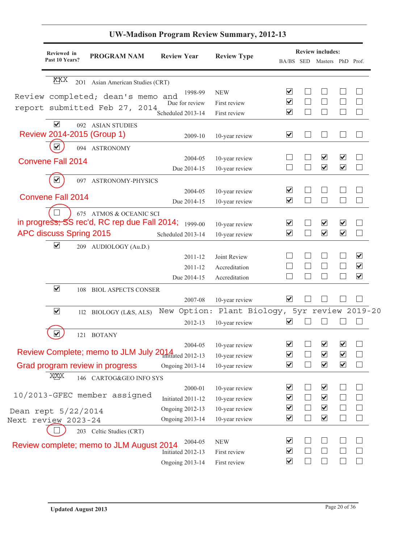| Reviewed in                 |                                                             |                        |                                               |                                 |                          | <b>Review includes:</b>         |                      |                         |
|-----------------------------|-------------------------------------------------------------|------------------------|-----------------------------------------------|---------------------------------|--------------------------|---------------------------------|----------------------|-------------------------|
| Past 10 Years?              | <b>PROGRAM NAM</b>                                          | <b>Review Year</b>     | <b>Review Type</b>                            |                                 |                          | BA/BS SED Masters PhD Prof.     |                      |                         |
| XXX<br><b>201</b>           | Asian American Studies (CRT)                                |                        |                                               |                                 |                          |                                 |                      |                         |
|                             | Review completed; dean's memo and                           | 1998-99                | <b>NEW</b>                                    | ☑                               |                          |                                 |                      |                         |
|                             |                                                             | Due for review         | First review                                  | $\blacktriangledown$            |                          |                                 |                      |                         |
|                             | report submitted Feb 27, 2014                               | Scheduled 2013-14      | First review                                  | $\blacktriangledown$            | $\mathbf{L}$             | $\vert \ \ \vert$               |                      | $\vert \ \ \vert$       |
| $\blacktriangledown$        | 092 ASIAN STUDIES                                           |                        |                                               |                                 |                          |                                 |                      |                         |
| Review 2014-2015 (Group 1)  |                                                             | 2009-10                | 10-year review                                | $\overline{\blacktriangledown}$ |                          |                                 |                      |                         |
|                             | 094 ASTRONOMY                                               |                        |                                               |                                 |                          |                                 |                      |                         |
| <b>Convene Fall 2014</b>    |                                                             | 2004-05                | 10-year review                                |                                 |                          | ⊻                               | $\blacktriangledown$ |                         |
|                             |                                                             | Due 2014-15            | 10-year review                                |                                 | $\Box$                   | $\overline{\mathbf{v}}$         | $\blacktriangledown$ | $\Box$                  |
|                             | 097 ASTRONOMY-PHYSICS                                       |                        |                                               |                                 |                          |                                 |                      |                         |
|                             |                                                             | 2004-05                | 10-year review                                | ⊻                               |                          |                                 |                      |                         |
| <b>Convene Fall 2014</b>    |                                                             | Due 2014-15            | 10-year review                                | $\overline{\mathbf{v}}$         | ⊔                        | $\Box$                          |                      | $\Box$                  |
|                             | 675 ATMOS & OCEANIC SCI                                     |                        |                                               |                                 |                          |                                 |                      |                         |
|                             | in progress; $SS$ rec'd, RC rep due Fall 2014; $_{1999-00}$ |                        | 10-year review                                | ⊻                               |                          | $\overline{\blacktriangledown}$ | ⊻                    |                         |
| APC discuss Spring 2015     |                                                             | Scheduled 2013-14      | 10-year review                                | $\blacktriangledown$            | $\Box$                   | $\blacktriangledown$            | $\blacktriangledown$ | $\Box$                  |
| $\blacktriangledown$        | 209 AUDIOLOGY (Au.D.)                                       |                        |                                               |                                 |                          |                                 |                      |                         |
|                             |                                                             | 2011-12                | Joint Review                                  |                                 |                          |                                 |                      | $\overline{\mathbf{v}}$ |
|                             |                                                             | 2011-12                | Accreditation                                 |                                 |                          |                                 |                      | $\blacktriangledown$    |
|                             |                                                             | Due 2014-15            | Accreditation                                 |                                 | $\overline{\phantom{a}}$ | $\overline{a}$                  |                      | $\blacktriangledown$    |
| $\blacktriangledown$        | 108 BIOL ASPECTS CONSER                                     |                        |                                               |                                 |                          |                                 |                      |                         |
|                             |                                                             | 2007-08                | 10-year review                                | $\overline{\mathbf{v}}$         |                          |                                 |                      |                         |
| $\blacktriangledown$        | 112 BIOLOGY (L&S, ALS)                                      |                        | New Option: Plant Biology, 5yr review 2019-20 |                                 |                          |                                 |                      |                         |
|                             |                                                             | 2012-13                | 10-year review                                | $\blacktriangledown$            |                          | $\vert \ \ \vert$               |                      |                         |
| $\blacktriangledown$<br>121 | <b>BOTANY</b>                                               |                        |                                               |                                 |                          |                                 |                      |                         |
|                             |                                                             |                        | 2004-05 10-year review                        | $\blacktriangledown$            | $\Box$                   | $\blacktriangledown$            | $\blacktriangledown$ | $\Box$                  |
|                             | Review Complete; memo to JLM July 2014 atdawd 2012-13       |                        | 10-year review                                | $\blacktriangledown$            |                          | $\blacktriangledown$            | $\blacktriangledown$ | $\mathbf{L}$            |
|                             | Grad program review in progress                             | <b>Ongoing 2013-14</b> | 10-year review                                | $\blacktriangledown$            | $\Box$                   | $\blacktriangledown$            | $\blacktriangledown$ | $\Box$                  |
| XXX                         | 146 CARTOG&GEO INFO SYS                                     |                        |                                               |                                 |                          |                                 |                      |                         |
|                             |                                                             | 2000-01                | 10-year review                                | ⊻                               |                          | $\blacktriangledown$            |                      |                         |
|                             | 10/2013-GFEC member assigned                                | Initiated 2011-12      | 10-year review                                | $\overline{\mathbf{v}}$         | ⊔                        | $\blacktriangledown$            |                      |                         |
| Dean rept 5/22/2014         |                                                             | <b>Ongoing 2012-13</b> | 10-year review                                | ☑                               | $\Box$                   | $\overline{\mathbf{v}}$         |                      | $\Box$                  |
| Next review 2023-24         |                                                             | <b>Ongoing 2013-14</b> | 10-year review                                | $\blacktriangledown$            | $\Box$                   | $\overline{\mathbf{v}}$         |                      | $\Box$                  |
|                             | 203 Celtic Studies (CRT)                                    |                        |                                               |                                 |                          |                                 |                      |                         |
|                             |                                                             | 2004-05                | <b>NEW</b>                                    | ⊻                               |                          |                                 |                      |                         |
|                             | Review complete; memo to JLM August 2014                    | Initiated 2012-13      | First review                                  | $\blacktriangledown$            |                          |                                 |                      |                         |
|                             |                                                             | <b>Ongoing 2013-14</b> | First review                                  | $\blacktriangledown$            |                          |                                 |                      |                         |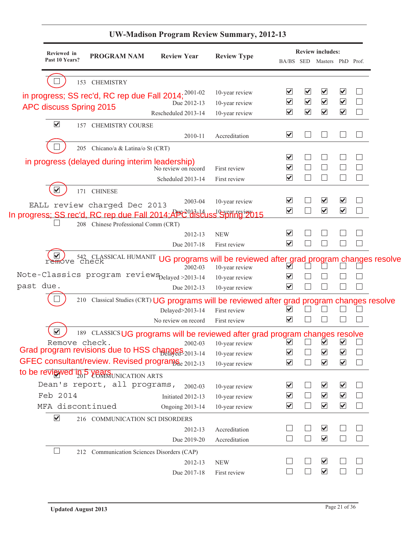|                         | Reviewed in    |                                                                                             |                        |                          |                                 |                      | <b>Review includes:</b>     |                      |              |  |
|-------------------------|----------------|---------------------------------------------------------------------------------------------|------------------------|--------------------------|---------------------------------|----------------------|-----------------------------|----------------------|--------------|--|
|                         | Past 10 Years? | <b>PROGRAM NAM</b>                                                                          | <b>Review Year</b>     | <b>Review Type</b>       |                                 |                      | BA/BS SED Masters PhD Prof. |                      |              |  |
|                         |                | 153 CHEMISTRY                                                                               |                        |                          |                                 |                      |                             |                      |              |  |
|                         |                | in progress; SS rec'd, RC rep due Fall 2014; <sup>2001-02</sup>                             |                        | 10-year review           | ⊻                               | ⊻                    | $\blacktriangledown$        | $\blacktriangledown$ |              |  |
| APC discuss Spring 2015 |                |                                                                                             | Due 2012-13            | 10-year review           | $\blacktriangledown$            | $\blacktriangledown$ | $\blacktriangledown$        | $\blacktriangledown$ |              |  |
|                         |                |                                                                                             | Rescheduled 2013-14    | 10-year review           | $\blacktriangledown$            | $\blacktriangledown$ | $\blacktriangledown$        | $\blacktriangledown$ | $\mathbf{L}$ |  |
| $\blacktriangledown$    |                | 157 CHEMISTRY COURSE                                                                        |                        |                          |                                 |                      |                             |                      |              |  |
|                         |                |                                                                                             | 2010-11                | Accreditation            | $\blacktriangledown$            |                      |                             |                      |              |  |
|                         |                | 205 Chicano/a & Latina/o St (CRT)                                                           |                        |                          |                                 |                      |                             |                      |              |  |
|                         |                | in progress (delayed during interim leadership)                                             |                        |                          | $\overline{\mathbf{v}}$         |                      |                             |                      |              |  |
|                         |                |                                                                                             | No review on record    | First review             | $\overline{\mathbf{v}}$         |                      |                             |                      |              |  |
|                         |                |                                                                                             | Scheduled 2013-14      | First review             | $\overline{\mathbf{v}}$         | $\mathbf{L}$         | $\vert \ \ \vert$           |                      |              |  |
|                         |                | 171 CHINESE                                                                                 |                        |                          |                                 |                      |                             |                      |              |  |
|                         |                | EALL review charged Dec 2013                                                                | 2003-04                | 10-year review           | $\overline{\blacktriangledown}$ |                      | $\overline{\mathbf{v}}$     | ⊻                    |              |  |
|                         |                | In progress; SS rec'd, RC rep due Fall 2014; APC discuss Spiling 2015                       |                        |                          | $\blacktriangledown$            | $\vert \ \ \vert$    | $\blacktriangledown$        | $\blacktriangledown$ |              |  |
|                         |                | 208 Chinese Professional Comm (CRT)                                                         |                        |                          |                                 |                      |                             |                      |              |  |
|                         |                |                                                                                             | 2012-13                | <b>NEW</b>               | $\boxed{\blacktriangledown}$    |                      |                             |                      |              |  |
|                         |                |                                                                                             | Due 2017-18            | First review             | $\blacktriangledown$            |                      |                             |                      |              |  |
|                         | remove         | 542 CLASSICAL HUMANIT UG programs will be reviewed after grad program changes resolve       | 2002-03                | 10-year review           | $\blacktriangledown$            |                      |                             |                      |              |  |
|                         |                | Note-Classics program reviewSpelayed>2013-14                                                |                        | 10-year review           | ⊻                               |                      |                             |                      |              |  |
| past due.               |                |                                                                                             | Due 2012-13            | 10-year review           | $\overline{\mathbf{v}}$         |                      |                             |                      |              |  |
|                         |                | 210 Classical Studies (CRT) UG programs will be reviewed after grad program changes resolve |                        |                          |                                 |                      |                             |                      |              |  |
|                         |                |                                                                                             | Delayed>2013-14        | First review             | V                               |                      |                             |                      |              |  |
|                         |                |                                                                                             | No review on record    | First review             | ⊻                               |                      |                             |                      |              |  |
|                         |                | 189 CLASSICS UG programs will be reviewed after grad program changes resolve                |                        |                          |                                 |                      |                             |                      |              |  |
|                         | Remove check.  |                                                                                             |                        | $2002-03$ 10-year review | $\blacktriangledown$            |                      | M                           | M                    |              |  |
|                         |                | Grad program revisions due to HSS changes 2013-14                                           |                        | 10-year review           | $\overline{\blacktriangledown}$ |                      | $\blacktriangledown$        | $\blacktriangledown$ |              |  |
|                         |                | GFEC consultant/review. Revised programS <sub>ae 2012-13</sub>                              |                        | 10-year review           | $\blacktriangledown$            | $\mathbf{L}$         | $\blacktriangledown$        | $\blacktriangledown$ |              |  |
|                         |                | to be reviewed in 5 Years UNICATION ARTS                                                    |                        |                          |                                 |                      |                             |                      |              |  |
|                         |                | Dean's report, all programs,                                                                | 2002-03                | 10-year review           | ☑                               |                      | $\blacktriangledown$        | $\blacktriangledown$ |              |  |
| Feb 2014                |                |                                                                                             | Initiated 2012-13      | 10-year review           | $\blacktriangledown$            |                      | $\blacktriangledown$        | $\blacktriangledown$ |              |  |
|                         |                | MFA discontinued                                                                            | <b>Ongoing 2013-14</b> | 10-year review           | $\blacktriangledown$            | $\Box$               | $\blacktriangledown$        | $\blacktriangledown$ |              |  |
| $\blacktriangledown$    |                | 216 COMMUNICATION SCI DISORDERS                                                             |                        |                          |                                 |                      |                             |                      |              |  |
|                         |                |                                                                                             | 2012-13                | Accreditation            |                                 |                      | $\blacktriangledown$        |                      |              |  |
|                         |                |                                                                                             |                        | Accreditation            |                                 | $\Box$               | $\blacktriangledown$        |                      |              |  |
|                         |                |                                                                                             | Due 2019-20            |                          |                                 |                      |                             |                      |              |  |
|                         |                | 212 Communication Sciences Disorders (CAP)                                                  |                        |                          |                                 |                      |                             |                      |              |  |
|                         |                |                                                                                             | 2012-13                | <b>NEW</b>               |                                 |                      | $\blacktriangledown$        |                      |              |  |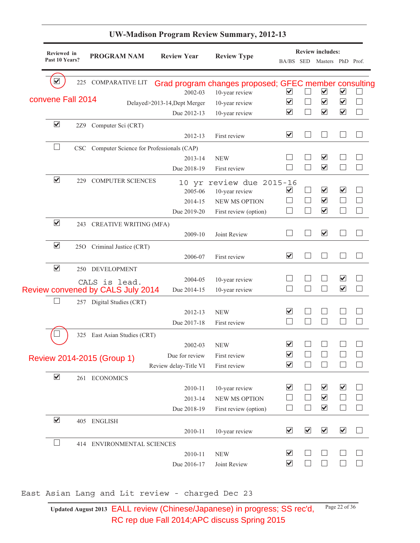| ⊻<br>convene Fall 2014<br>$\blacktriangledown$<br>$\blacktriangledown$ | 225<br>2Z9<br>229 | <b>COMPARATIVE LIT</b><br>Computer Sci (CRT)<br>CSC Computer Science for Professionals (CAP) | 2002-03<br>Delayed>2013-14, Dept Merger<br>Due 2012-13<br>2012-13 | Grad program changes proposed; GFEC member consulting<br>10-year review<br>10-year review<br>10-year review<br>First review | ⊻<br>⊻<br>⊻                                     |                                                                                    | $\blacktriangledown$<br>$\overline{\blacktriangledown}$<br>$\blacktriangledown$ | $\blacktriangledown$<br>$\blacktriangledown$<br>$\blacktriangledown$ |  |
|------------------------------------------------------------------------|-------------------|----------------------------------------------------------------------------------------------|-------------------------------------------------------------------|-----------------------------------------------------------------------------------------------------------------------------|-------------------------------------------------|------------------------------------------------------------------------------------|---------------------------------------------------------------------------------|----------------------------------------------------------------------|--|
|                                                                        |                   |                                                                                              |                                                                   |                                                                                                                             |                                                 |                                                                                    |                                                                                 |                                                                      |  |
|                                                                        |                   |                                                                                              |                                                                   |                                                                                                                             |                                                 | $\overline{\blacktriangledown}$<br>$\overline{\mathbf{v}}$<br>$\blacktriangledown$ |                                                                                 |                                                                      |  |
|                                                                        |                   |                                                                                              |                                                                   |                                                                                                                             | $\overline{\mathbf{v}}$                         |                                                                                    |                                                                                 |                                                                      |  |
|                                                                        |                   |                                                                                              | 2013-14                                                           | <b>NEW</b>                                                                                                                  |                                                 |                                                                                    |                                                                                 |                                                                      |  |
|                                                                        |                   | <b>COMPUTER SCIENCES</b>                                                                     | Due 2018-19<br>2005-06                                            | First review<br>10 yr review due 2015-16<br>10-year review                                                                  | $\overline{\mathbf{v}}$                         |                                                                                    |                                                                                 | $\overline{\mathbf{v}}$                                              |  |
|                                                                        |                   |                                                                                              | 2014-15<br>Due 2019-20                                            | <b>NEW MS OPTION</b><br>First review (option)                                                                               |                                                 |                                                                                    | $\overline{\blacktriangledown}$<br>$\blacktriangledown$                         |                                                                      |  |
| $\blacktriangledown$                                                   |                   | 243 CREATIVE WRITING (MFA)                                                                   | 2009-10                                                           | Joint Review                                                                                                                |                                                 |                                                                                    | $\blacktriangledown$                                                            |                                                                      |  |
| $\blacktriangledown$                                                   | 25 <sub>O</sub>   | Criminal Justice (CRT)                                                                       | 2006-07                                                           | First review                                                                                                                | $\overline{\mathbf{v}}$                         |                                                                                    |                                                                                 |                                                                      |  |
| $\blacktriangledown$                                                   | 250               | DEVELOPMENT<br>CALS is lead.                                                                 | 2004-05                                                           | 10-year review                                                                                                              |                                                 |                                                                                    |                                                                                 | $\overline{\mathbf{v}}$                                              |  |
|                                                                        |                   | <b>Review convened by CALS July 2014</b><br>257 Digital Studies (CRT)                        | Due 2014-15                                                       | 10-year review                                                                                                              |                                                 |                                                                                    |                                                                                 | $\blacktriangledown$                                                 |  |
|                                                                        |                   |                                                                                              | 2012-13<br>Due 2017-18                                            | <b>NEW</b><br>First review                                                                                                  | $\overline{\blacktriangledown}$                 |                                                                                    |                                                                                 |                                                                      |  |
|                                                                        |                   | 325 East Asian Studies (CRT)                                                                 | 2002-03                                                           | <b>NEW</b>                                                                                                                  | $\overline{\mathbf{v}}$                         |                                                                                    |                                                                                 |                                                                      |  |
|                                                                        |                   | Review 2014-2015 (Group 1)                                                                   | Due for review<br>Review delay-Title VI                           | First review<br>First review                                                                                                | $\overline{\mathbf{v}}$<br>$\blacktriangledown$ |                                                                                    |                                                                                 |                                                                      |  |
| $\blacktriangledown$                                                   |                   | 261 ECONOMICS                                                                                | 2010-11<br>2013-14<br>Due 2018-19                                 | 10-year review<br><b>NEW MS OPTION</b><br>First review (option)                                                             | $\blacktriangledown$                            |                                                                                    | $\blacktriangledown$<br>$\blacktriangledown$<br>$\blacktriangledown$            | $\blacktriangledown$                                                 |  |
| $\blacktriangledown$                                                   |                   | 405 ENGLISH                                                                                  | 2010-11                                                           | 10-year review                                                                                                              | $\blacktriangledown$                            | $\blacktriangledown$                                                               | $\blacktriangledown$                                                            | $\blacktriangledown$                                                 |  |
|                                                                        |                   | 414 ENVIRONMENTAL SCIENCES                                                                   | 2010-11<br>Due 2016-17                                            | <b>NEW</b><br>Joint Review                                                                                                  | $\blacktriangledown$<br>$\blacktriangledown$    |                                                                                    |                                                                                 |                                                                      |  |
|                                                                        |                   | East Asian Lang and Lit review - charged Dec 23                                              |                                                                   |                                                                                                                             |                                                 |                                                                                    |                                                                                 |                                                                      |  |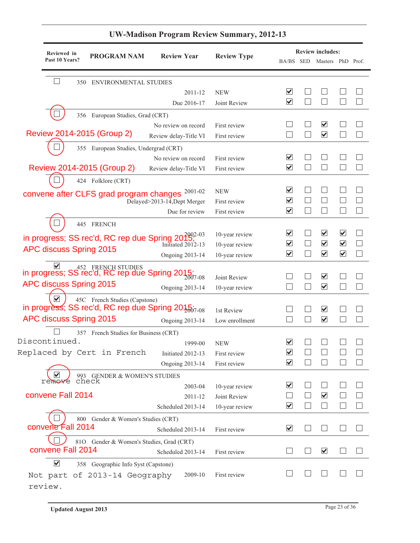|                         | Reviewed in    |                                          |                                                                                                  |                    |                                                 | <b>Review includes:</b>         |                                              |                |
|-------------------------|----------------|------------------------------------------|--------------------------------------------------------------------------------------------------|--------------------|-------------------------------------------------|---------------------------------|----------------------------------------------|----------------|
|                         | Past 10 Years? | <b>PROGRAM NAM</b>                       | <b>Review Year</b>                                                                               | <b>Review Type</b> |                                                 | BA/BS SED Masters PhD Prof.     |                                              |                |
|                         | 350            | ENVIRONMENTAL STUDIES                    |                                                                                                  |                    |                                                 |                                 |                                              |                |
|                         |                |                                          | 2011-12                                                                                          | <b>NEW</b>         | ⊻                                               |                                 |                                              |                |
|                         |                |                                          | Due 2016-17                                                                                      | Joint Review       | $\blacktriangledown$                            |                                 |                                              |                |
|                         |                |                                          |                                                                                                  |                    |                                                 |                                 |                                              |                |
|                         |                | 356 European Studies, Grad (CRT)         | No review on record                                                                              | First review       |                                                 | $\blacktriangledown$            |                                              |                |
|                         |                | Review 2014-2015 (Group 2)               | Review delay-Title VI                                                                            | First review       |                                                 | $\blacktriangledown$            |                                              |                |
|                         |                |                                          |                                                                                                  |                    |                                                 |                                 |                                              |                |
|                         |                | 355 European Studies, Undergrad (CRT)    |                                                                                                  |                    | M                                               |                                 |                                              |                |
|                         |                | Review 2014-2015 (Group 2)               | No review on record                                                                              | First review       | $\overline{\blacktriangledown}$                 | $\Box$                          |                                              |                |
|                         |                |                                          | Review delay-Title VI                                                                            | First review       |                                                 |                                 |                                              |                |
|                         |                | 424 Folklore (CRT)                       |                                                                                                  |                    |                                                 |                                 |                                              |                |
|                         |                | convene after CLFS grad program changes  | 2001-02                                                                                          | <b>NEW</b>         | ⊻                                               |                                 |                                              |                |
|                         |                |                                          | Delayed>2013-14, Dept Merger                                                                     | First review       | $\overline{\mathbf{v}}$<br>$\blacktriangledown$ | $\Box$                          |                                              |                |
|                         |                |                                          | Due for review                                                                                   | First review       |                                                 |                                 |                                              |                |
|                         |                | 445 FRENCH                               |                                                                                                  |                    |                                                 |                                 |                                              |                |
|                         |                |                                          | in progress; SS rec'd, RC rep due Spring $2015$ ;                                                | 10-year review     | ⊻                                               | $\blacktriangledown$            | $\blacktriangledown$                         |                |
| APC discuss Spring 2015 |                |                                          |                                                                                                  | 10-year review     | $\blacktriangledown$                            | $\blacktriangledown$            | $\blacktriangledown$<br>$\blacktriangledown$ |                |
|                         |                |                                          | <b>Ongoing 2013-14</b>                                                                           | 10-year review     | $\blacktriangledown$                            | $\blacktriangledown$            |                                              | $\mathbb{R}^n$ |
|                         |                |                                          | In progress; SS rec'd, RC rep due Spring 2015:<br>in progress; SS rec'd, RC rep due Spring 2015: |                    |                                                 |                                 |                                              |                |
| APC discuss Spring 2015 |                |                                          |                                                                                                  | Joint Review       |                                                 | $\blacktriangledown$            |                                              |                |
|                         |                |                                          | <b>Ongoing 2013-14</b>                                                                           | 10-year review     |                                                 | $\blacktriangledown$            |                                              |                |
| $\blacktriangledown$    |                | 45C French Studies (Capstone)            |                                                                                                  |                    |                                                 |                                 |                                              |                |
|                         |                |                                          | in progress; SS rec'd, RC rep due Spring 2015;                                                   | 1st Review         |                                                 | $\blacktriangledown$            |                                              |                |
| APC discuss Spring 2015 |                |                                          | <b>Ongoing 2013-14</b>                                                                           | Low enrollment     |                                                 | $\blacktriangledown$            |                                              |                |
|                         |                | 357 French Studies for Business (CRT)    |                                                                                                  |                    |                                                 |                                 |                                              |                |
| Discontinued.           |                |                                          | 1999-00                                                                                          | <b>NEW</b>         | ⊻                                               |                                 |                                              |                |
|                         |                |                                          | Replaced by Cert in French Initiated 2012-13                                                     | First review       | $\blacktriangledown$                            |                                 |                                              |                |
|                         |                |                                          | <b>Ongoing 2013-14</b>                                                                           | First review       | $\overline{\blacktriangledown}$                 |                                 |                                              |                |
| V<br>remove             |                | 993 GENDER & WOMEN'S STUDIES<br>check    |                                                                                                  |                    |                                                 |                                 |                                              |                |
|                         |                |                                          | 2003-04                                                                                          | 10-year review     | ⊻                                               |                                 |                                              |                |
| convene Fall 2014       |                |                                          | 2011-12                                                                                          | Joint Review       |                                                 | $\overline{\blacktriangledown}$ |                                              |                |
|                         |                |                                          | Scheduled 2013-14                                                                                | 10-year review     | ⊻                                               |                                 |                                              |                |
|                         |                | 800 Gender & Women's Studies (CRT)       |                                                                                                  |                    |                                                 |                                 |                                              |                |
| convene Fall 2014       |                |                                          | Scheduled 2013-14                                                                                | First review       | ⊻                                               |                                 |                                              |                |
|                         |                | 810 Gender & Women's Studies, Grad (CRT) |                                                                                                  |                    |                                                 |                                 |                                              |                |
| convene Fall 2014       |                |                                          | Scheduled 2013-14                                                                                | First review       |                                                 | $\blacktriangledown$            |                                              |                |
| $\blacktriangledown$    |                | 358 Geographic Info Syst (Capstone)      |                                                                                                  |                    |                                                 |                                 |                                              |                |
|                         |                | Not part of 2013-14 Geography            | 2009-10                                                                                          | First review       |                                                 |                                 |                                              |                |
| review.                 |                |                                          |                                                                                                  |                    |                                                 |                                 |                                              |                |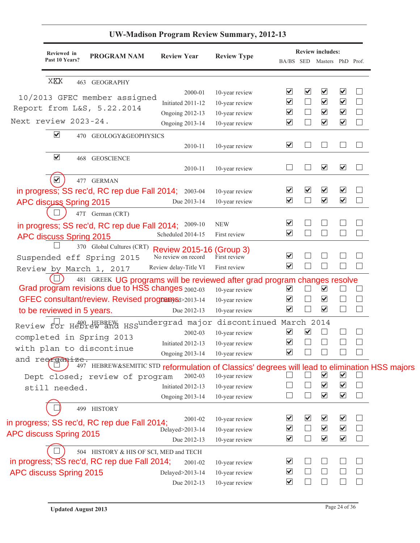| <b>Review includes:</b><br>Reviewed in<br><b>PROGRAM NAM</b><br><b>Review Year</b><br><b>Review Type</b><br>Past 10 Years?<br>BA/BS SED Masters PhD Prof.<br>XXX<br>463 GEOGRAPHY<br>$\blacktriangledown$<br>$\blacktriangledown$<br>$\blacktriangledown$<br>$\blacktriangledown$<br>10-year review<br>2000-01<br>10/2013 GFEC member assigned<br>$\blacktriangledown$<br>$\blacktriangledown$<br>$\blacktriangledown$<br>Initiated 2011-12<br>10-year review<br>Report from L&S, 5.22.2014<br>$\blacktriangledown$<br>$\blacktriangledown$<br>$\blacktriangledown$<br>10-year review<br><b>Ongoing 2012-13</b><br>Next review 2023-24.<br>$\blacktriangledown$<br>$\blacktriangledown$<br>$\blacktriangledown$<br>$\Box$<br>10-year review<br><b>Ongoing 2013-14</b><br>$\blacktriangledown$<br>470 GEOLOGY&GEOPHYSICS<br>$\blacktriangledown$<br>$\vert \ \ \vert$<br>10-year review<br>2010-11<br>$\blacktriangledown$<br>468 GEOSCIENCE<br>$\blacktriangledown$<br>$\blacktriangledown$<br>2010-11<br>10-year review<br>$\blacktriangledown$<br>477 GERMAN<br>$\blacktriangledown$<br>$\blacktriangledown$<br>$\overline{\blacktriangledown}$<br>$\overline{\blacktriangledown}$<br>in progress; SS rec'd, RC rep due Fall 2014; 2003-04<br>10-year review<br>$\overline{\mathbf{v}}$<br>$\blacktriangledown$<br>$\blacktriangledown$<br><b>APC discuss Spring 2015</b><br>Due 2013-14<br>10-year review<br>47T German (CRT)<br>$\blacktriangledown$<br><b>NEW</b><br>in progress; SS rec'd, RC rep due Fall 2014; 2009-10<br>$\overline{\mathbf{v}}$<br>Scheduled 2014-15<br>First review<br>APC discuss Spring 2015<br>370 Global Cultures (CRT)<br>Review 2015-16 (Group 3)<br>$\blacktriangledown$<br>Suspended eff Spring 2015<br>No review on record<br>First review<br>$\blacktriangledown$<br>Review delay-Title VI<br>First review<br>Review by March 1, 2017<br>481 GREEK UG programs will be reviewed after grad program changes resolve<br>Grad program revisions due to HSS changes 2002-03<br>$\blacktriangledown$<br>⊻<br>10-year review<br>$\blacktriangledown$<br>$\blacktriangledown$<br>GFEC consultant/review. Revised programsd>2013-14<br>10-year review<br>$\blacktriangledown$<br>$\blacktriangledown$<br>$\mathbb{R}$<br>to be reviewed in 5 years.<br>Due 2012-13<br>10-year review<br>Review for Hebrew and HSSundergrad major discontinued March 2014<br>$\blacktriangledown$<br>$\blacktriangledown$<br>2002-03<br>10-year review<br>completed in Spring 2013<br>$\blacktriangledown$<br>Initiated 2012-13<br>10-year review<br>with plan to discontinue<br>$\overline{\mathbf{v}}$<br>10-year review<br><b>Ongoing 2013-14</b><br>and reorganize.<br>497 HEBREW&SEMITIC STD reformulation of Classics' degrees will lead to elimination HSS majors<br>$\blacktriangledown$<br>⊻<br>10-year review<br>Dept closed; review of program<br>2002-03<br>$\blacktriangledown$<br>$\blacktriangledown$<br>10-year review<br>Initiated 2012-13<br>still needed.<br>$\blacktriangledown$<br>$\blacktriangledown$<br><b>Ongoing 2013-14</b><br>10-year review<br>499 HISTORY<br>$\blacktriangledown$<br>$\blacktriangledown$<br>$\overline{\mathbf{v}}$<br>$\overline{\mathbf{v}}$<br>10-year review<br>2001-02<br>in progress; SS rec'd, RC rep due Fall 2014;<br>$\blacktriangledown$<br>$\blacktriangledown$<br>$\blacktriangledown$<br>10-year review<br>Delayed>2013-14<br><b>APC discuss Spring 2015</b><br>$\blacktriangledown$<br>$\blacktriangledown$<br>$\blacktriangledown$<br>$\mathbb{R}^n$<br>10-year review<br>Due 2012-13<br>504 HISTORY & HIS OF SCI, MED and TECH<br>in progress; SS rec'd, RC rep due Fall 2014;<br>$\blacktriangledown$<br>2001-02<br>10-year review<br>$\blacktriangledown$<br>10-year review<br>Delayed>2013-14<br>$\blacktriangledown$<br>10-year review<br>Due 2012-13 |                         | <b>UW-Madison Program Review Summary, 2012-13</b> |  |  |  |
|---------------------------------------------------------------------------------------------------------------------------------------------------------------------------------------------------------------------------------------------------------------------------------------------------------------------------------------------------------------------------------------------------------------------------------------------------------------------------------------------------------------------------------------------------------------------------------------------------------------------------------------------------------------------------------------------------------------------------------------------------------------------------------------------------------------------------------------------------------------------------------------------------------------------------------------------------------------------------------------------------------------------------------------------------------------------------------------------------------------------------------------------------------------------------------------------------------------------------------------------------------------------------------------------------------------------------------------------------------------------------------------------------------------------------------------------------------------------------------------------------------------------------------------------------------------------------------------------------------------------------------------------------------------------------------------------------------------------------------------------------------------------------------------------------------------------------------------------------------------------------------------------------------------------------------------------------------------------------------------------------------------------------------------------------------------------------------------------------------------------------------------------------------------------------------------------------------------------------------------------------------------------------------------------------------------------------------------------------------------------------------------------------------------------------------------------------------------------------------------------------------------------------------------------------------------------------------------------------------------------------------------------------------------------------------------------------------------------------------------------------------------------------------------------------------------------------------------------------------------------------------------------------------------------------------------------------------------------------------------------------------------------------------------------------------------------------------------------------------------------------------------------------------------------------------------------------------------------------------------------------------------------------------------------------------------------------------------------------------------------------------------------------------------------------------------------------------------------------------------------------------------------------------------------------------------------------------------------------------------------------------------------------------------------------------------------------------------------------------------------------------------------------------------------------------------------------------------|-------------------------|---------------------------------------------------|--|--|--|
|                                                                                                                                                                                                                                                                                                                                                                                                                                                                                                                                                                                                                                                                                                                                                                                                                                                                                                                                                                                                                                                                                                                                                                                                                                                                                                                                                                                                                                                                                                                                                                                                                                                                                                                                                                                                                                                                                                                                                                                                                                                                                                                                                                                                                                                                                                                                                                                                                                                                                                                                                                                                                                                                                                                                                                                                                                                                                                                                                                                                                                                                                                                                                                                                                                                                                                                                                                                                                                                                                                                                                                                                                                                                                                                                                                                                                                       |                         |                                                   |  |  |  |
|                                                                                                                                                                                                                                                                                                                                                                                                                                                                                                                                                                                                                                                                                                                                                                                                                                                                                                                                                                                                                                                                                                                                                                                                                                                                                                                                                                                                                                                                                                                                                                                                                                                                                                                                                                                                                                                                                                                                                                                                                                                                                                                                                                                                                                                                                                                                                                                                                                                                                                                                                                                                                                                                                                                                                                                                                                                                                                                                                                                                                                                                                                                                                                                                                                                                                                                                                                                                                                                                                                                                                                                                                                                                                                                                                                                                                                       |                         |                                                   |  |  |  |
|                                                                                                                                                                                                                                                                                                                                                                                                                                                                                                                                                                                                                                                                                                                                                                                                                                                                                                                                                                                                                                                                                                                                                                                                                                                                                                                                                                                                                                                                                                                                                                                                                                                                                                                                                                                                                                                                                                                                                                                                                                                                                                                                                                                                                                                                                                                                                                                                                                                                                                                                                                                                                                                                                                                                                                                                                                                                                                                                                                                                                                                                                                                                                                                                                                                                                                                                                                                                                                                                                                                                                                                                                                                                                                                                                                                                                                       |                         |                                                   |  |  |  |
|                                                                                                                                                                                                                                                                                                                                                                                                                                                                                                                                                                                                                                                                                                                                                                                                                                                                                                                                                                                                                                                                                                                                                                                                                                                                                                                                                                                                                                                                                                                                                                                                                                                                                                                                                                                                                                                                                                                                                                                                                                                                                                                                                                                                                                                                                                                                                                                                                                                                                                                                                                                                                                                                                                                                                                                                                                                                                                                                                                                                                                                                                                                                                                                                                                                                                                                                                                                                                                                                                                                                                                                                                                                                                                                                                                                                                                       |                         |                                                   |  |  |  |
|                                                                                                                                                                                                                                                                                                                                                                                                                                                                                                                                                                                                                                                                                                                                                                                                                                                                                                                                                                                                                                                                                                                                                                                                                                                                                                                                                                                                                                                                                                                                                                                                                                                                                                                                                                                                                                                                                                                                                                                                                                                                                                                                                                                                                                                                                                                                                                                                                                                                                                                                                                                                                                                                                                                                                                                                                                                                                                                                                                                                                                                                                                                                                                                                                                                                                                                                                                                                                                                                                                                                                                                                                                                                                                                                                                                                                                       |                         |                                                   |  |  |  |
|                                                                                                                                                                                                                                                                                                                                                                                                                                                                                                                                                                                                                                                                                                                                                                                                                                                                                                                                                                                                                                                                                                                                                                                                                                                                                                                                                                                                                                                                                                                                                                                                                                                                                                                                                                                                                                                                                                                                                                                                                                                                                                                                                                                                                                                                                                                                                                                                                                                                                                                                                                                                                                                                                                                                                                                                                                                                                                                                                                                                                                                                                                                                                                                                                                                                                                                                                                                                                                                                                                                                                                                                                                                                                                                                                                                                                                       |                         |                                                   |  |  |  |
|                                                                                                                                                                                                                                                                                                                                                                                                                                                                                                                                                                                                                                                                                                                                                                                                                                                                                                                                                                                                                                                                                                                                                                                                                                                                                                                                                                                                                                                                                                                                                                                                                                                                                                                                                                                                                                                                                                                                                                                                                                                                                                                                                                                                                                                                                                                                                                                                                                                                                                                                                                                                                                                                                                                                                                                                                                                                                                                                                                                                                                                                                                                                                                                                                                                                                                                                                                                                                                                                                                                                                                                                                                                                                                                                                                                                                                       |                         |                                                   |  |  |  |
|                                                                                                                                                                                                                                                                                                                                                                                                                                                                                                                                                                                                                                                                                                                                                                                                                                                                                                                                                                                                                                                                                                                                                                                                                                                                                                                                                                                                                                                                                                                                                                                                                                                                                                                                                                                                                                                                                                                                                                                                                                                                                                                                                                                                                                                                                                                                                                                                                                                                                                                                                                                                                                                                                                                                                                                                                                                                                                                                                                                                                                                                                                                                                                                                                                                                                                                                                                                                                                                                                                                                                                                                                                                                                                                                                                                                                                       |                         |                                                   |  |  |  |
|                                                                                                                                                                                                                                                                                                                                                                                                                                                                                                                                                                                                                                                                                                                                                                                                                                                                                                                                                                                                                                                                                                                                                                                                                                                                                                                                                                                                                                                                                                                                                                                                                                                                                                                                                                                                                                                                                                                                                                                                                                                                                                                                                                                                                                                                                                                                                                                                                                                                                                                                                                                                                                                                                                                                                                                                                                                                                                                                                                                                                                                                                                                                                                                                                                                                                                                                                                                                                                                                                                                                                                                                                                                                                                                                                                                                                                       |                         |                                                   |  |  |  |
|                                                                                                                                                                                                                                                                                                                                                                                                                                                                                                                                                                                                                                                                                                                                                                                                                                                                                                                                                                                                                                                                                                                                                                                                                                                                                                                                                                                                                                                                                                                                                                                                                                                                                                                                                                                                                                                                                                                                                                                                                                                                                                                                                                                                                                                                                                                                                                                                                                                                                                                                                                                                                                                                                                                                                                                                                                                                                                                                                                                                                                                                                                                                                                                                                                                                                                                                                                                                                                                                                                                                                                                                                                                                                                                                                                                                                                       |                         |                                                   |  |  |  |
|                                                                                                                                                                                                                                                                                                                                                                                                                                                                                                                                                                                                                                                                                                                                                                                                                                                                                                                                                                                                                                                                                                                                                                                                                                                                                                                                                                                                                                                                                                                                                                                                                                                                                                                                                                                                                                                                                                                                                                                                                                                                                                                                                                                                                                                                                                                                                                                                                                                                                                                                                                                                                                                                                                                                                                                                                                                                                                                                                                                                                                                                                                                                                                                                                                                                                                                                                                                                                                                                                                                                                                                                                                                                                                                                                                                                                                       |                         |                                                   |  |  |  |
|                                                                                                                                                                                                                                                                                                                                                                                                                                                                                                                                                                                                                                                                                                                                                                                                                                                                                                                                                                                                                                                                                                                                                                                                                                                                                                                                                                                                                                                                                                                                                                                                                                                                                                                                                                                                                                                                                                                                                                                                                                                                                                                                                                                                                                                                                                                                                                                                                                                                                                                                                                                                                                                                                                                                                                                                                                                                                                                                                                                                                                                                                                                                                                                                                                                                                                                                                                                                                                                                                                                                                                                                                                                                                                                                                                                                                                       |                         |                                                   |  |  |  |
|                                                                                                                                                                                                                                                                                                                                                                                                                                                                                                                                                                                                                                                                                                                                                                                                                                                                                                                                                                                                                                                                                                                                                                                                                                                                                                                                                                                                                                                                                                                                                                                                                                                                                                                                                                                                                                                                                                                                                                                                                                                                                                                                                                                                                                                                                                                                                                                                                                                                                                                                                                                                                                                                                                                                                                                                                                                                                                                                                                                                                                                                                                                                                                                                                                                                                                                                                                                                                                                                                                                                                                                                                                                                                                                                                                                                                                       |                         |                                                   |  |  |  |
|                                                                                                                                                                                                                                                                                                                                                                                                                                                                                                                                                                                                                                                                                                                                                                                                                                                                                                                                                                                                                                                                                                                                                                                                                                                                                                                                                                                                                                                                                                                                                                                                                                                                                                                                                                                                                                                                                                                                                                                                                                                                                                                                                                                                                                                                                                                                                                                                                                                                                                                                                                                                                                                                                                                                                                                                                                                                                                                                                                                                                                                                                                                                                                                                                                                                                                                                                                                                                                                                                                                                                                                                                                                                                                                                                                                                                                       |                         |                                                   |  |  |  |
|                                                                                                                                                                                                                                                                                                                                                                                                                                                                                                                                                                                                                                                                                                                                                                                                                                                                                                                                                                                                                                                                                                                                                                                                                                                                                                                                                                                                                                                                                                                                                                                                                                                                                                                                                                                                                                                                                                                                                                                                                                                                                                                                                                                                                                                                                                                                                                                                                                                                                                                                                                                                                                                                                                                                                                                                                                                                                                                                                                                                                                                                                                                                                                                                                                                                                                                                                                                                                                                                                                                                                                                                                                                                                                                                                                                                                                       |                         |                                                   |  |  |  |
|                                                                                                                                                                                                                                                                                                                                                                                                                                                                                                                                                                                                                                                                                                                                                                                                                                                                                                                                                                                                                                                                                                                                                                                                                                                                                                                                                                                                                                                                                                                                                                                                                                                                                                                                                                                                                                                                                                                                                                                                                                                                                                                                                                                                                                                                                                                                                                                                                                                                                                                                                                                                                                                                                                                                                                                                                                                                                                                                                                                                                                                                                                                                                                                                                                                                                                                                                                                                                                                                                                                                                                                                                                                                                                                                                                                                                                       |                         |                                                   |  |  |  |
|                                                                                                                                                                                                                                                                                                                                                                                                                                                                                                                                                                                                                                                                                                                                                                                                                                                                                                                                                                                                                                                                                                                                                                                                                                                                                                                                                                                                                                                                                                                                                                                                                                                                                                                                                                                                                                                                                                                                                                                                                                                                                                                                                                                                                                                                                                                                                                                                                                                                                                                                                                                                                                                                                                                                                                                                                                                                                                                                                                                                                                                                                                                                                                                                                                                                                                                                                                                                                                                                                                                                                                                                                                                                                                                                                                                                                                       |                         |                                                   |  |  |  |
|                                                                                                                                                                                                                                                                                                                                                                                                                                                                                                                                                                                                                                                                                                                                                                                                                                                                                                                                                                                                                                                                                                                                                                                                                                                                                                                                                                                                                                                                                                                                                                                                                                                                                                                                                                                                                                                                                                                                                                                                                                                                                                                                                                                                                                                                                                                                                                                                                                                                                                                                                                                                                                                                                                                                                                                                                                                                                                                                                                                                                                                                                                                                                                                                                                                                                                                                                                                                                                                                                                                                                                                                                                                                                                                                                                                                                                       |                         |                                                   |  |  |  |
|                                                                                                                                                                                                                                                                                                                                                                                                                                                                                                                                                                                                                                                                                                                                                                                                                                                                                                                                                                                                                                                                                                                                                                                                                                                                                                                                                                                                                                                                                                                                                                                                                                                                                                                                                                                                                                                                                                                                                                                                                                                                                                                                                                                                                                                                                                                                                                                                                                                                                                                                                                                                                                                                                                                                                                                                                                                                                                                                                                                                                                                                                                                                                                                                                                                                                                                                                                                                                                                                                                                                                                                                                                                                                                                                                                                                                                       |                         |                                                   |  |  |  |
|                                                                                                                                                                                                                                                                                                                                                                                                                                                                                                                                                                                                                                                                                                                                                                                                                                                                                                                                                                                                                                                                                                                                                                                                                                                                                                                                                                                                                                                                                                                                                                                                                                                                                                                                                                                                                                                                                                                                                                                                                                                                                                                                                                                                                                                                                                                                                                                                                                                                                                                                                                                                                                                                                                                                                                                                                                                                                                                                                                                                                                                                                                                                                                                                                                                                                                                                                                                                                                                                                                                                                                                                                                                                                                                                                                                                                                       |                         |                                                   |  |  |  |
|                                                                                                                                                                                                                                                                                                                                                                                                                                                                                                                                                                                                                                                                                                                                                                                                                                                                                                                                                                                                                                                                                                                                                                                                                                                                                                                                                                                                                                                                                                                                                                                                                                                                                                                                                                                                                                                                                                                                                                                                                                                                                                                                                                                                                                                                                                                                                                                                                                                                                                                                                                                                                                                                                                                                                                                                                                                                                                                                                                                                                                                                                                                                                                                                                                                                                                                                                                                                                                                                                                                                                                                                                                                                                                                                                                                                                                       |                         |                                                   |  |  |  |
|                                                                                                                                                                                                                                                                                                                                                                                                                                                                                                                                                                                                                                                                                                                                                                                                                                                                                                                                                                                                                                                                                                                                                                                                                                                                                                                                                                                                                                                                                                                                                                                                                                                                                                                                                                                                                                                                                                                                                                                                                                                                                                                                                                                                                                                                                                                                                                                                                                                                                                                                                                                                                                                                                                                                                                                                                                                                                                                                                                                                                                                                                                                                                                                                                                                                                                                                                                                                                                                                                                                                                                                                                                                                                                                                                                                                                                       |                         |                                                   |  |  |  |
|                                                                                                                                                                                                                                                                                                                                                                                                                                                                                                                                                                                                                                                                                                                                                                                                                                                                                                                                                                                                                                                                                                                                                                                                                                                                                                                                                                                                                                                                                                                                                                                                                                                                                                                                                                                                                                                                                                                                                                                                                                                                                                                                                                                                                                                                                                                                                                                                                                                                                                                                                                                                                                                                                                                                                                                                                                                                                                                                                                                                                                                                                                                                                                                                                                                                                                                                                                                                                                                                                                                                                                                                                                                                                                                                                                                                                                       |                         |                                                   |  |  |  |
|                                                                                                                                                                                                                                                                                                                                                                                                                                                                                                                                                                                                                                                                                                                                                                                                                                                                                                                                                                                                                                                                                                                                                                                                                                                                                                                                                                                                                                                                                                                                                                                                                                                                                                                                                                                                                                                                                                                                                                                                                                                                                                                                                                                                                                                                                                                                                                                                                                                                                                                                                                                                                                                                                                                                                                                                                                                                                                                                                                                                                                                                                                                                                                                                                                                                                                                                                                                                                                                                                                                                                                                                                                                                                                                                                                                                                                       |                         |                                                   |  |  |  |
|                                                                                                                                                                                                                                                                                                                                                                                                                                                                                                                                                                                                                                                                                                                                                                                                                                                                                                                                                                                                                                                                                                                                                                                                                                                                                                                                                                                                                                                                                                                                                                                                                                                                                                                                                                                                                                                                                                                                                                                                                                                                                                                                                                                                                                                                                                                                                                                                                                                                                                                                                                                                                                                                                                                                                                                                                                                                                                                                                                                                                                                                                                                                                                                                                                                                                                                                                                                                                                                                                                                                                                                                                                                                                                                                                                                                                                       |                         |                                                   |  |  |  |
|                                                                                                                                                                                                                                                                                                                                                                                                                                                                                                                                                                                                                                                                                                                                                                                                                                                                                                                                                                                                                                                                                                                                                                                                                                                                                                                                                                                                                                                                                                                                                                                                                                                                                                                                                                                                                                                                                                                                                                                                                                                                                                                                                                                                                                                                                                                                                                                                                                                                                                                                                                                                                                                                                                                                                                                                                                                                                                                                                                                                                                                                                                                                                                                                                                                                                                                                                                                                                                                                                                                                                                                                                                                                                                                                                                                                                                       |                         |                                                   |  |  |  |
|                                                                                                                                                                                                                                                                                                                                                                                                                                                                                                                                                                                                                                                                                                                                                                                                                                                                                                                                                                                                                                                                                                                                                                                                                                                                                                                                                                                                                                                                                                                                                                                                                                                                                                                                                                                                                                                                                                                                                                                                                                                                                                                                                                                                                                                                                                                                                                                                                                                                                                                                                                                                                                                                                                                                                                                                                                                                                                                                                                                                                                                                                                                                                                                                                                                                                                                                                                                                                                                                                                                                                                                                                                                                                                                                                                                                                                       |                         |                                                   |  |  |  |
|                                                                                                                                                                                                                                                                                                                                                                                                                                                                                                                                                                                                                                                                                                                                                                                                                                                                                                                                                                                                                                                                                                                                                                                                                                                                                                                                                                                                                                                                                                                                                                                                                                                                                                                                                                                                                                                                                                                                                                                                                                                                                                                                                                                                                                                                                                                                                                                                                                                                                                                                                                                                                                                                                                                                                                                                                                                                                                                                                                                                                                                                                                                                                                                                                                                                                                                                                                                                                                                                                                                                                                                                                                                                                                                                                                                                                                       |                         |                                                   |  |  |  |
|                                                                                                                                                                                                                                                                                                                                                                                                                                                                                                                                                                                                                                                                                                                                                                                                                                                                                                                                                                                                                                                                                                                                                                                                                                                                                                                                                                                                                                                                                                                                                                                                                                                                                                                                                                                                                                                                                                                                                                                                                                                                                                                                                                                                                                                                                                                                                                                                                                                                                                                                                                                                                                                                                                                                                                                                                                                                                                                                                                                                                                                                                                                                                                                                                                                                                                                                                                                                                                                                                                                                                                                                                                                                                                                                                                                                                                       |                         |                                                   |  |  |  |
|                                                                                                                                                                                                                                                                                                                                                                                                                                                                                                                                                                                                                                                                                                                                                                                                                                                                                                                                                                                                                                                                                                                                                                                                                                                                                                                                                                                                                                                                                                                                                                                                                                                                                                                                                                                                                                                                                                                                                                                                                                                                                                                                                                                                                                                                                                                                                                                                                                                                                                                                                                                                                                                                                                                                                                                                                                                                                                                                                                                                                                                                                                                                                                                                                                                                                                                                                                                                                                                                                                                                                                                                                                                                                                                                                                                                                                       |                         |                                                   |  |  |  |
|                                                                                                                                                                                                                                                                                                                                                                                                                                                                                                                                                                                                                                                                                                                                                                                                                                                                                                                                                                                                                                                                                                                                                                                                                                                                                                                                                                                                                                                                                                                                                                                                                                                                                                                                                                                                                                                                                                                                                                                                                                                                                                                                                                                                                                                                                                                                                                                                                                                                                                                                                                                                                                                                                                                                                                                                                                                                                                                                                                                                                                                                                                                                                                                                                                                                                                                                                                                                                                                                                                                                                                                                                                                                                                                                                                                                                                       |                         |                                                   |  |  |  |
|                                                                                                                                                                                                                                                                                                                                                                                                                                                                                                                                                                                                                                                                                                                                                                                                                                                                                                                                                                                                                                                                                                                                                                                                                                                                                                                                                                                                                                                                                                                                                                                                                                                                                                                                                                                                                                                                                                                                                                                                                                                                                                                                                                                                                                                                                                                                                                                                                                                                                                                                                                                                                                                                                                                                                                                                                                                                                                                                                                                                                                                                                                                                                                                                                                                                                                                                                                                                                                                                                                                                                                                                                                                                                                                                                                                                                                       |                         |                                                   |  |  |  |
|                                                                                                                                                                                                                                                                                                                                                                                                                                                                                                                                                                                                                                                                                                                                                                                                                                                                                                                                                                                                                                                                                                                                                                                                                                                                                                                                                                                                                                                                                                                                                                                                                                                                                                                                                                                                                                                                                                                                                                                                                                                                                                                                                                                                                                                                                                                                                                                                                                                                                                                                                                                                                                                                                                                                                                                                                                                                                                                                                                                                                                                                                                                                                                                                                                                                                                                                                                                                                                                                                                                                                                                                                                                                                                                                                                                                                                       |                         |                                                   |  |  |  |
|                                                                                                                                                                                                                                                                                                                                                                                                                                                                                                                                                                                                                                                                                                                                                                                                                                                                                                                                                                                                                                                                                                                                                                                                                                                                                                                                                                                                                                                                                                                                                                                                                                                                                                                                                                                                                                                                                                                                                                                                                                                                                                                                                                                                                                                                                                                                                                                                                                                                                                                                                                                                                                                                                                                                                                                                                                                                                                                                                                                                                                                                                                                                                                                                                                                                                                                                                                                                                                                                                                                                                                                                                                                                                                                                                                                                                                       |                         |                                                   |  |  |  |
|                                                                                                                                                                                                                                                                                                                                                                                                                                                                                                                                                                                                                                                                                                                                                                                                                                                                                                                                                                                                                                                                                                                                                                                                                                                                                                                                                                                                                                                                                                                                                                                                                                                                                                                                                                                                                                                                                                                                                                                                                                                                                                                                                                                                                                                                                                                                                                                                                                                                                                                                                                                                                                                                                                                                                                                                                                                                                                                                                                                                                                                                                                                                                                                                                                                                                                                                                                                                                                                                                                                                                                                                                                                                                                                                                                                                                                       |                         |                                                   |  |  |  |
|                                                                                                                                                                                                                                                                                                                                                                                                                                                                                                                                                                                                                                                                                                                                                                                                                                                                                                                                                                                                                                                                                                                                                                                                                                                                                                                                                                                                                                                                                                                                                                                                                                                                                                                                                                                                                                                                                                                                                                                                                                                                                                                                                                                                                                                                                                                                                                                                                                                                                                                                                                                                                                                                                                                                                                                                                                                                                                                                                                                                                                                                                                                                                                                                                                                                                                                                                                                                                                                                                                                                                                                                                                                                                                                                                                                                                                       |                         |                                                   |  |  |  |
|                                                                                                                                                                                                                                                                                                                                                                                                                                                                                                                                                                                                                                                                                                                                                                                                                                                                                                                                                                                                                                                                                                                                                                                                                                                                                                                                                                                                                                                                                                                                                                                                                                                                                                                                                                                                                                                                                                                                                                                                                                                                                                                                                                                                                                                                                                                                                                                                                                                                                                                                                                                                                                                                                                                                                                                                                                                                                                                                                                                                                                                                                                                                                                                                                                                                                                                                                                                                                                                                                                                                                                                                                                                                                                                                                                                                                                       |                         |                                                   |  |  |  |
|                                                                                                                                                                                                                                                                                                                                                                                                                                                                                                                                                                                                                                                                                                                                                                                                                                                                                                                                                                                                                                                                                                                                                                                                                                                                                                                                                                                                                                                                                                                                                                                                                                                                                                                                                                                                                                                                                                                                                                                                                                                                                                                                                                                                                                                                                                                                                                                                                                                                                                                                                                                                                                                                                                                                                                                                                                                                                                                                                                                                                                                                                                                                                                                                                                                                                                                                                                                                                                                                                                                                                                                                                                                                                                                                                                                                                                       |                         |                                                   |  |  |  |
|                                                                                                                                                                                                                                                                                                                                                                                                                                                                                                                                                                                                                                                                                                                                                                                                                                                                                                                                                                                                                                                                                                                                                                                                                                                                                                                                                                                                                                                                                                                                                                                                                                                                                                                                                                                                                                                                                                                                                                                                                                                                                                                                                                                                                                                                                                                                                                                                                                                                                                                                                                                                                                                                                                                                                                                                                                                                                                                                                                                                                                                                                                                                                                                                                                                                                                                                                                                                                                                                                                                                                                                                                                                                                                                                                                                                                                       | APC discuss Spring 2015 |                                                   |  |  |  |
|                                                                                                                                                                                                                                                                                                                                                                                                                                                                                                                                                                                                                                                                                                                                                                                                                                                                                                                                                                                                                                                                                                                                                                                                                                                                                                                                                                                                                                                                                                                                                                                                                                                                                                                                                                                                                                                                                                                                                                                                                                                                                                                                                                                                                                                                                                                                                                                                                                                                                                                                                                                                                                                                                                                                                                                                                                                                                                                                                                                                                                                                                                                                                                                                                                                                                                                                                                                                                                                                                                                                                                                                                                                                                                                                                                                                                                       |                         |                                                   |  |  |  |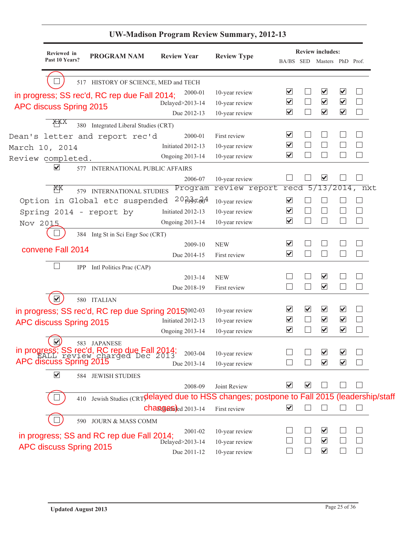| Reviewed in<br><b>PROGRAM NAM</b>                                                           | <b>Review Year</b>               | <b>Review Type</b> |                                 |                              | <b>Review includes:</b>         |                          |                          |
|---------------------------------------------------------------------------------------------|----------------------------------|--------------------|---------------------------------|------------------------------|---------------------------------|--------------------------|--------------------------|
| Past 10 Years?                                                                              |                                  |                    | BA/BS SED                       |                              | Masters PhD Prof.               |                          |                          |
|                                                                                             |                                  |                    |                                 |                              |                                 |                          |                          |
| 517 HISTORY OF SCIENCE, MED and TECH                                                        | 2000-01                          | 10-year review     | ☑                               |                              | ⊻                               | $\blacktriangledown$     |                          |
| in progress; SS rec'd, RC rep due Fall 2014;                                                | Delayed>2013-14                  | 10-year review     | $\overline{\mathbf{v}}$         |                              | $\blacktriangledown$            | $\blacktriangledown$     | $\Box$                   |
| APC discuss Spring 2015                                                                     | Due 2012-13                      | 10-year review     | $\blacktriangledown$            | I.                           | $\blacktriangledown$            | $\blacktriangledown$     | $\Box$                   |
| XXX<br>380 Integrated Liberal Studies (CRT)                                                 |                                  |                    |                                 |                              |                                 |                          |                          |
| Dean's letter and report rec'd                                                              | 2000-01                          | First review       | $\blacktriangledown$            |                              |                                 |                          | $\vert \ \ \vert$        |
| March 10, 2014                                                                              | Initiated 2012-13                | 10-year review     | $\blacktriangledown$            |                              |                                 |                          | $\mathbb{R}$             |
| Review completed.                                                                           | <b>Ongoing 2013-14</b>           | 10-year review     | $\overline{\mathbf{v}}$         |                              |                                 |                          | $\vert \ \ \vert$        |
| ⊻<br>577 INTERNATIONAL PUBLIC AFFAIRS                                                       |                                  |                    |                                 |                              |                                 |                          |                          |
|                                                                                             | 2006-07                          | 10-year review     |                                 |                              | $\overline{\blacktriangledown}$ |                          |                          |
| XХ<br>579 INTERNATIONAL STUDIES                                                             | Program                          | review report      | recd                            | 5/                           |                                 |                          | 13/2014, nxt             |
| Option in Global etc suspended                                                              | $20$ for $60^4$                  | 10-year review     | $\overline{\blacktriangledown}$ |                              |                                 |                          | $\vert \ \ \vert$        |
| Spring 2014 - report by                                                                     | Initiated 2012-13                | 10-year review     | $\overline{\mathbf{v}}$         |                              |                                 |                          | $\Box$                   |
| Nov 2015                                                                                    | <b>Ongoing 2013-14</b>           | 10-year review     | $\overline{\mathbf{v}}$         |                              |                                 | $\overline{\phantom{a}}$ | $\overline{\phantom{a}}$ |
| 384 Intg St in Sci Engr Soc (CRT)                                                           |                                  |                    |                                 |                              |                                 |                          |                          |
|                                                                                             | 2009-10                          | <b>NEW</b>         | $\overline{\mathbf{v}}$         |                              |                                 |                          | П                        |
| convene Fall 2014                                                                           | Due 2014-15                      | First review       | $\blacktriangledown$            | I.                           |                                 | $\mathbf{L}$             | $\Box$                   |
| IPP Intl Politics Prac (CAP)                                                                |                                  |                    |                                 |                              |                                 |                          |                          |
|                                                                                             | 2013-14                          | <b>NEW</b>         |                                 |                              | $\blacktriangledown$            |                          | M                        |
|                                                                                             | Due 2018-19                      | First review       | n.                              |                              | $\blacktriangledown$            | $\mathbf{L}$             | $\Box$                   |
| $\blacktriangledown$<br>580 ITALIAN                                                         |                                  |                    |                                 |                              |                                 |                          |                          |
| in progress; SS rec'd, RC rep due Spring 2015?002-03                                        |                                  | 10-year review     | $\overline{\blacktriangledown}$ | $\blacktriangledown$         | $\blacktriangledown$            | $\blacktriangledown$     | $\Box$                   |
| APC discuss Spring 2015                                                                     | Initiated 2012-13                | 10-year review     | $\blacktriangledown$            | L.                           | $\blacktriangledown$            | $\blacktriangledown$     | $\Box$                   |
|                                                                                             | <b>Ongoing 2013-14</b>           | 10-year review     | $\overline{\mathbf{v}}$         | I.                           | $\overline{\mathbf{v}}$         | $\blacktriangledown$     | $\Box$                   |
| 583 JAPANESE                                                                                |                                  |                    |                                 |                              |                                 |                          |                          |
| in progress; SS rec'd, RC rep due Fall 2014;<br>APC discuss Spring 2015                     | 2003-04                          | 10-year review     |                                 |                              | ⊻                               | ⊻                        |                          |
|                                                                                             | Due 2013-14                      | 10-year review     |                                 |                              | $\overline{\blacktriangledown}$ | $\overline{\mathbf{v}}$  |                          |
| $\blacktriangledown$<br>584 JEWISH STUDIES                                                  |                                  |                    |                                 |                              |                                 |                          |                          |
|                                                                                             | 2008-09                          | Joint Review       | $\boxed{\blacktriangledown}$    | $\boxed{\blacktriangledown}$ |                                 |                          |                          |
| 410 Jewish Studies (CRTOdelayed due to HSS changes; postpone to Fall 2015 (leadership/staff |                                  |                    |                                 |                              |                                 |                          |                          |
|                                                                                             | $changgeB$ <sub>ed 2013-14</sub> | First review       | $\blacktriangledown$            |                              |                                 |                          | $\Box$                   |
| <b>JOURN &amp; MASS COMM</b><br>590                                                         |                                  |                    |                                 |                              |                                 |                          |                          |
|                                                                                             | 2001-02                          | 10-year review     |                                 |                              | ⊻                               |                          |                          |
| in progress; SS and RC rep due Fall 2014;                                                   | Delayed>2013-14                  | 10-year review     |                                 |                              | $\blacktriangledown$            |                          | $\Box$                   |
| APC discuss Spring 2015                                                                     | Due 2011-12                      | 10-year review     |                                 |                              | $\blacktriangledown$            |                          | $\vert \ \ \vert$        |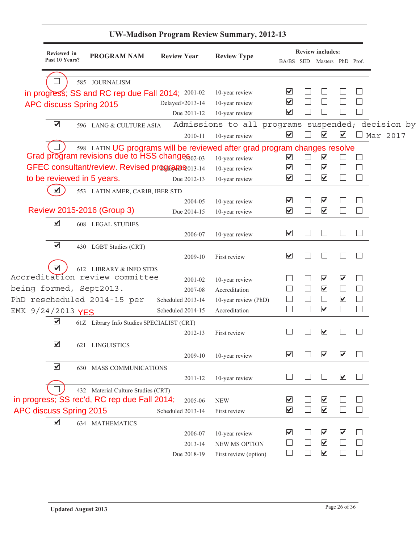|                         |                      |                                                                                                                              |                    | U W-Maulson I Togram Keview Summary, 2012-13      |                                              |        |                                              |                         |                             |
|-------------------------|----------------------|------------------------------------------------------------------------------------------------------------------------------|--------------------|---------------------------------------------------|----------------------------------------------|--------|----------------------------------------------|-------------------------|-----------------------------|
|                         | Reviewed in          |                                                                                                                              |                    |                                                   |                                              |        | <b>Review includes:</b>                      |                         |                             |
|                         | Past 10 Years?       | <b>PROGRAM NAM</b>                                                                                                           | <b>Review Year</b> | <b>Review Type</b>                                |                                              |        | BA/BS SED Masters PhD Prof.                  |                         |                             |
|                         |                      |                                                                                                                              |                    |                                                   |                                              |        |                                              |                         |                             |
|                         |                      | 585 JOURNALISM                                                                                                               |                    |                                                   | ☑                                            |        |                                              |                         |                             |
|                         |                      | in progress; SS and RC rep due Fall 2014; 2001-02                                                                            |                    | 10-year review                                    | $\blacktriangledown$                         |        |                                              |                         |                             |
|                         |                      | APC discuss Spring 2015                                                                                                      | Delayed>2013-14    | 10-year review                                    | $\blacktriangledown$                         |        |                                              |                         |                             |
|                         |                      |                                                                                                                              | Due 2011-12        | 10-year review                                    |                                              |        |                                              |                         |                             |
|                         | $\blacktriangledown$ | 596 LANG & CULTURE ASIA                                                                                                      |                    | Admissions to all programs suspended; decision by | $\blacktriangledown$                         |        | $\blacktriangledown$                         | $\blacktriangledown$    |                             |
|                         |                      |                                                                                                                              | 2010-11            | 10-year review                                    |                                              |        |                                              |                         | Mar 2017                    |
|                         |                      | 598 LATIN UG programs will be reviewed after grad program changes resolve<br>Grad program revisions due to HSS change 802-03 |                    |                                                   |                                              |        |                                              |                         |                             |
|                         |                      |                                                                                                                              |                    | 10-year review                                    | $\blacktriangledown$<br>$\blacktriangledown$ |        | $\blacktriangledown$                         |                         | $\Box$                      |
|                         |                      | GFEC consultant/review. Revised programs <sup>2013-14</sup>                                                                  |                    | 10-year review                                    | $\overline{\blacktriangledown}$              |        | $\blacktriangledown$<br>$\blacktriangledown$ |                         | □<br>$\Box$                 |
|                         |                      | to be reviewed in 5 years.                                                                                                   | Due 2012-13        | 10-year review                                    |                                              |        |                                              |                         |                             |
|                         |                      | 553 LATIN AMER, CARIB, IBER STD                                                                                              |                    |                                                   |                                              |        |                                              |                         |                             |
|                         |                      | Review 2015-2016 (Group 3)                                                                                                   | 2004-05            | 10-year review                                    | $\blacktriangledown$<br>$\blacktriangledown$ |        | $\blacktriangledown$<br>$\blacktriangledown$ |                         | $\Box$                      |
|                         |                      |                                                                                                                              | Due 2014-15        | 10-year review                                    |                                              |        |                                              |                         |                             |
|                         | $\blacktriangledown$ | <b>608 LEGAL STUDIES</b>                                                                                                     |                    |                                                   |                                              |        |                                              |                         |                             |
|                         |                      |                                                                                                                              | 2006-07            | 10-year review                                    | $\blacktriangledown$                         |        | $\Box$                                       |                         |                             |
|                         | $\blacktriangledown$ | 430 LGBT Studies (CRT)                                                                                                       |                    |                                                   |                                              |        |                                              |                         |                             |
|                         |                      |                                                                                                                              | 2009-10            | First review                                      | $\blacktriangleright$                        |        | $\Box$                                       |                         |                             |
|                         | $\blacktriangledown$ | 612 LIBRARY & INFO STDS                                                                                                      |                    |                                                   |                                              |        |                                              |                         |                             |
|                         |                      | Accreditation review committee                                                                                               | 2001-02            | 10-year review                                    |                                              |        | $\blacktriangledown$                         | $\blacktriangledown$    |                             |
|                         |                      | being formed, Sept2013.                                                                                                      | 2007-08            | Accreditation                                     |                                              |        | $\blacktriangledown$                         |                         | $\Box$                      |
|                         |                      | PhD rescheduled 2014-15 per                                                                                                  | Scheduled 2013-14  | 10-year review (PhD)                              |                                              | $\Box$ | $\Box$                                       | $\blacktriangledown$    | $\Box$                      |
| EMK 9/24/2013 YES       |                      |                                                                                                                              | Scheduled 2014-15  | Accreditation                                     |                                              |        | $\blacktriangledown$                         |                         | $\Box$                      |
|                         | $\blacktriangledown$ | 61Z Library Info Studies SPECIALIST (CRT)                                                                                    |                    |                                                   |                                              |        |                                              |                         |                             |
|                         |                      |                                                                                                                              | 2012-13            | First review                                      |                                              |        | $\blacktriangledown$                         |                         |                             |
|                         | $\blacktriangledown$ | 621 LINGUISTICS                                                                                                              |                    |                                                   |                                              |        |                                              |                         |                             |
|                         |                      |                                                                                                                              | 2009-10            | 10-year review                                    | $\overline{\blacktriangledown}$              |        | $\blacktriangledown$                         | $\overline{\mathbf{v}}$ |                             |
|                         | $\blacktriangledown$ | 630 MASS COMMUNICATIONS                                                                                                      |                    |                                                   |                                              |        |                                              |                         |                             |
|                         |                      |                                                                                                                              | 2011-12            | 10-year review                                    |                                              |        | $\Box$                                       | $\blacktriangledown$    |                             |
|                         |                      | 432 Material Culture Studies (CRT)                                                                                           |                    |                                                   |                                              |        |                                              |                         |                             |
|                         |                      | in progress; SS rec'd, RC rep due Fall 2014;                                                                                 | 2005-06            | <b>NEW</b>                                        | ⊻                                            |        | $\blacktriangledown$                         |                         |                             |
| APC discuss Spring 2015 |                      |                                                                                                                              | Scheduled 2013-14  | First review                                      | $\blacktriangledown$                         |        | $\blacktriangledown$                         |                         | $\mathcal{L}_{\mathcal{A}}$ |
|                         | $\blacktriangledown$ | 634 MATHEMATICS                                                                                                              |                    |                                                   |                                              |        |                                              |                         |                             |
|                         |                      |                                                                                                                              | 2006-07            | 10-year review                                    | ⊻                                            |        | $\boxed{\blacktriangledown}$                 | $\blacktriangledown$    |                             |
|                         |                      |                                                                                                                              | 2013-14            | NEW MS OPTION                                     |                                              | $\Box$ | $\blacktriangledown$                         |                         |                             |
|                         |                      |                                                                                                                              | Due 2018-19        | First review (option)                             |                                              |        | $\blacktriangledown$                         |                         | $\Box$                      |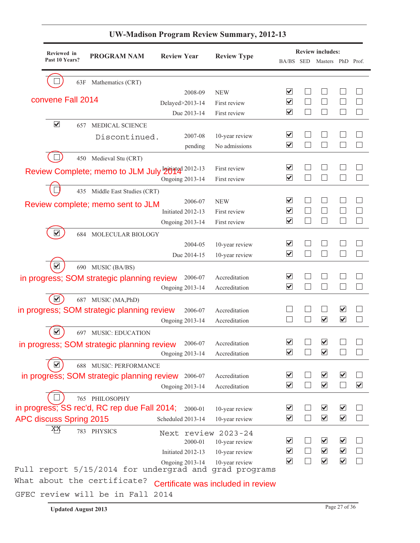|                         | Reviewed in<br>Past 10 Years? | <b>PROGRAM NAM</b>                                 | <b>Review Year</b>                | <b>Review Type</b>                 | BA/BS SED Masters PhD Prof.                  |        | <b>Review includes:</b>         |                          |                                       |
|-------------------------|-------------------------------|----------------------------------------------------|-----------------------------------|------------------------------------|----------------------------------------------|--------|---------------------------------|--------------------------|---------------------------------------|
|                         |                               | 63F Mathematics (CRT)                              |                                   |                                    |                                              |        |                                 |                          |                                       |
|                         |                               |                                                    | 2008-09                           | <b>NEW</b>                         | ⊻                                            |        |                                 |                          |                                       |
| convene Fall 2014       |                               |                                                    | Delayed>2013-14                   | First review                       | $\blacktriangledown$                         |        |                                 |                          |                                       |
|                         |                               |                                                    | Due 2013-14                       | First review                       | $\blacktriangledown$                         |        |                                 |                          |                                       |
| $\blacktriangledown$    | 657                           | <b>MEDICAL SCIENCE</b>                             |                                   |                                    |                                              |        |                                 |                          |                                       |
|                         |                               | Discontinued.                                      | 2007-08                           | 10-year review                     | $\blacktriangledown$                         |        |                                 |                          |                                       |
|                         |                               |                                                    | pending                           | No admissions                      | $\overline{\mathbf{v}}$                      |        |                                 |                          |                                       |
|                         |                               | 450 Medieval Stu (CRT)                             |                                   |                                    |                                              |        |                                 |                          |                                       |
|                         |                               | Review Complete; memo to JLM July highland 2012-13 |                                   | First review                       | $\blacktriangledown$                         |        |                                 |                          |                                       |
|                         |                               |                                                    | <b>Ongoing 2013-14</b>            | First review                       | $\overline{\blacktriangledown}$              |        |                                 |                          |                                       |
|                         |                               | 435 Middle East Studies (CRT)                      |                                   |                                    |                                              |        |                                 |                          |                                       |
|                         |                               | Review complete; memo sent to JLM                  | 2006-07                           | <b>NEW</b>                         | $\boxed{\blacktriangledown}$                 |        |                                 |                          |                                       |
|                         |                               |                                                    | Initiated 2012-13                 | First review                       | $\overline{\mathbf{v}}$                      |        |                                 |                          |                                       |
|                         |                               |                                                    | <b>Ongoing 2013-14</b>            | First review                       | $\blacktriangledown$                         |        |                                 |                          |                                       |
| $\blacktriangledown$    | 684                           | MOLECULAR BIOLOGY                                  |                                   |                                    |                                              |        |                                 |                          |                                       |
|                         |                               |                                                    | 2004-05                           | 10-year review                     | $\blacktriangledown$<br>$\blacktriangledown$ |        |                                 |                          |                                       |
|                         |                               |                                                    | Due 2014-15                       | 10-year review                     |                                              |        |                                 |                          |                                       |
| $\blacktriangledown$    |                               | 690 MUSIC (BA/BS)                                  |                                   |                                    | $\blacktriangledown$                         |        |                                 |                          |                                       |
|                         |                               | in progress; SOM strategic planning review         | 2006-07                           | Accreditation<br>Accreditation     | $\blacktriangledown$                         |        |                                 |                          |                                       |
| $\blacktriangledown$    |                               |                                                    | <b>Ongoing 2013-14</b>            |                                    |                                              |        |                                 |                          |                                       |
|                         |                               | 687 MUSIC (MA, PhD)                                |                                   | Accreditation                      |                                              |        |                                 | $\blacktriangledown$     |                                       |
|                         |                               | in progress; SOM strategic planning review         | 2006-07<br><b>Ongoing 2013-14</b> | Accreditation                      |                                              |        | $\overline{\mathbf{v}}$         | $\blacktriangledown$     |                                       |
| $\blacktriangledown$    |                               | 697 MUSIC: EDUCATION                               |                                   |                                    |                                              |        |                                 |                          |                                       |
|                         |                               |                                                    | 2006-07                           | Accreditation                      | $\overline{\mathbf{v}}$                      |        | $\overline{\blacktriangledown}$ |                          |                                       |
|                         |                               | in progress; SOM strategic planning review         | Ongoing 2013-14                   | Accreditation                      | $\blacktriangledown$                         | $\Box$ | $\blacktriangledown$            | $\Box$                   | $\begin{array}{c} \hline \end{array}$ |
| ⊻                       |                               | 688 MUSIC: PERFORMANCE                             |                                   |                                    |                                              |        |                                 |                          |                                       |
|                         |                               | in progress; SOM strategic planning review 2006-07 |                                   | Accreditation                      | $\overline{\blacktriangledown}$              |        | $\blacktriangledown$            | $\blacktriangledown$     |                                       |
|                         |                               |                                                    | <b>Ongoing 2013-14</b>            | Accreditation                      | $\overline{\mathbf{v}}$                      |        | $\blacktriangledown$            | $\overline{\phantom{a}}$ | $\blacktriangledown$                  |
|                         |                               | 765 PHILOSOPHY                                     |                                   |                                    |                                              |        |                                 |                          |                                       |
|                         |                               | in progress; SS rec'd, RC rep due Fall 2014;       | 2000-01                           | 10-year review                     | ⊻                                            |        | $\blacktriangledown$            | $\blacktriangledown$     |                                       |
| APC discuss Spring 2015 |                               |                                                    | Scheduled 2013-14                 | 10-year review                     | $\overline{\mathbf{v}}$                      |        | $\blacktriangledown$            | $\blacktriangledown$     |                                       |
| ĶĶ                      |                               | 783 PHYSICS                                        | Next review 2023-24               |                                    |                                              |        |                                 |                          |                                       |
|                         |                               |                                                    | 2000-01                           | 10-year review                     | $\blacktriangledown$                         |        | $\blacktriangledown$            | $\blacktriangledown$     |                                       |
|                         |                               |                                                    | Initiated 2012-13                 | 10-year review                     | $\blacktriangledown$                         |        | $\blacktriangledown$            | $\blacktriangledown$     |                                       |
|                         |                               |                                                    | <b>Ongoing 2013-14</b>            | 10-year review                     | $\overline{\mathbf{v}}$                      |        | $\blacktriangledown$            | $\blacktriangledown$     |                                       |
| Full                    |                               | report 5/15/2014 for undergrad and                 |                                   | grad programs                      |                                              |        |                                 |                          |                                       |
|                         |                               | What about the certificate?                        |                                   | Certificate was included in review |                                              |        |                                 |                          |                                       |
|                         |                               | GFEC review will be in Fall                        | 2014                              |                                    |                                              |        |                                 |                          |                                       |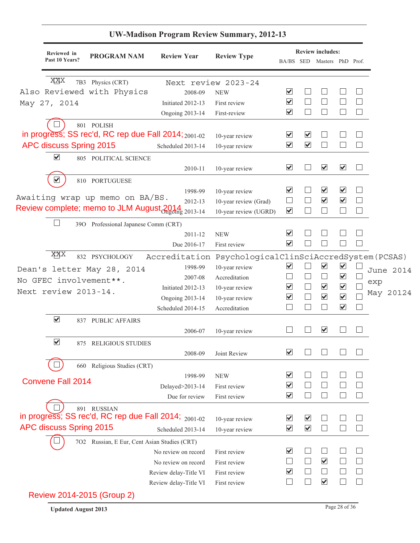|                               |                                                                | <b>UW-Madison Program Review Summary, 2012-13</b> |                                         |                                 |                         |                                                        |                              |                |           |
|-------------------------------|----------------------------------------------------------------|---------------------------------------------------|-----------------------------------------|---------------------------------|-------------------------|--------------------------------------------------------|------------------------------|----------------|-----------|
| Reviewed in<br>Past 10 Years? | <b>PROGRAM NAM</b>                                             | <b>Review Year</b>                                | <b>Review Type</b>                      |                                 |                         | <b>Review includes:</b><br>BA/BS SED Masters PhD Prof. |                              |                |           |
|                               |                                                                |                                                   |                                         |                                 |                         |                                                        |                              |                |           |
| XXX                           | 7B3 Physics (CRT)                                              | Next review 2023-24                               |                                         |                                 |                         |                                                        |                              |                |           |
|                               | Also Reviewed with Physics                                     | 2008-09                                           | <b>NEW</b>                              | $\blacktriangledown$            |                         |                                                        |                              |                |           |
| May 27, 2014                  |                                                                | Initiated 2012-13                                 | First review                            | $\blacktriangledown$            |                         |                                                        |                              |                |           |
|                               |                                                                | <b>Ongoing 2013-14</b>                            | First-review                            | $\blacktriangledown$            |                         | $\Box$                                                 |                              | $\Box$         |           |
|                               | 801 POLISH                                                     |                                                   |                                         |                                 |                         |                                                        |                              |                |           |
|                               | in progress; SS rec'd, RC rep due Fall 2014; 2001-02           |                                                   | 10-year review                          | $\blacktriangledown$            | $\overline{\mathbf{v}}$ |                                                        |                              |                |           |
| APC discuss Spring 2015       |                                                                | Scheduled 2013-14                                 | 10-year review                          | $\blacktriangledown$            | $\blacktriangledown$    | $\mathcal{L}$                                          |                              | $\mathbb{R}^n$ |           |
| $\blacktriangledown$          | 805 POLITICAL SCIENCE                                          |                                                   |                                         |                                 |                         |                                                        |                              |                |           |
|                               |                                                                | 2010-11                                           | 10-year review                          | $\blacktriangledown$            |                         | $\blacktriangledown$                                   | $\blacktriangledown$         |                |           |
| $\blacktriangledown$          | 810 PORTUGUESE                                                 |                                                   |                                         |                                 |                         |                                                        |                              |                |           |
|                               |                                                                | 1998-99                                           | 10-year review                          | $\blacktriangledown$            |                         | $\blacktriangledown$                                   | $\boxed{\blacktriangledown}$ |                |           |
|                               | Awaiting wrap up memo on BA/BS.                                | 2012-13                                           | 10-year review (Grad)                   | $\Box$                          |                         | $\blacktriangledown$                                   | $\overline{\mathbf{v}}$      | П              |           |
|                               | Review complete; memo to JLM August 2014<br><sub>2013-14</sub> |                                                   | 10-year review (UGRD)                   | $\blacktriangledown$            |                         | ×                                                      |                              | $\Box$         |           |
|                               | 390 Professional Japanese Comm (CRT)                           |                                                   |                                         |                                 |                         |                                                        |                              |                |           |
|                               |                                                                | 2011-12                                           | <b>NEW</b>                              | $\boxed{\blacktriangledown}$    |                         |                                                        |                              |                |           |
|                               |                                                                | Due 2016-17                                       | First review                            | $\blacktriangledown$            |                         |                                                        |                              |                |           |
| XXX                           | 832 PSYCHOLOGY                                                 | Accreditation                                     | PsychologicalClinSciAccredSystem(PCSAS) |                                 |                         |                                                        |                              |                |           |
|                               | Dean's letter May 28, 2014                                     | 1998-99                                           | 10-year review                          | $\blacktriangledown$            |                         | $\blacktriangledown$                                   | $\blacktriangledown$         |                |           |
|                               |                                                                | 2007-08                                           | Accreditation                           | $\Box$                          | $\Box$                  | $\Box$                                                 | $\blacktriangledown$         |                | June 2014 |
|                               | No GFEC involvement **.                                        | Initiated 2012-13                                 | 10-year review                          | $\blacktriangledown$            | $\Box$                  | $\blacktriangledown$                                   | $\blacktriangledown$         |                | exp       |
| Next review 2013-14.          |                                                                | <b>Ongoing 2013-14</b>                            | 10-year review                          | $\blacktriangledown$            | $\Box$                  | $\blacktriangledown$                                   | $\blacktriangledown$         |                | May 20124 |
|                               |                                                                | Scheduled 2014-15                                 | Accreditation                           |                                 | $\Box$                  | $\Box$                                                 | $\blacktriangledown$         | $\Box$         |           |
| $\blacktriangledown$          | 837 PUBLIC AFFAIRS                                             |                                                   |                                         |                                 |                         |                                                        |                              |                |           |
|                               |                                                                | 2006-07                                           | 10-year review                          |                                 |                         | $\overline{\mathbf{v}}$                                |                              |                |           |
| $\blacktriangledown$          |                                                                |                                                   |                                         |                                 |                         |                                                        |                              |                |           |
|                               | 875 RELIGIOUS STUDIES                                          |                                                   |                                         | ⊻                               |                         |                                                        |                              |                |           |
|                               |                                                                | 2008-09                                           | Joint Review                            |                                 |                         |                                                        |                              |                |           |
|                               | 660 Religious Studies (CRT)                                    |                                                   |                                         |                                 |                         |                                                        |                              |                |           |
| <b>Convene Fall 2014</b>      |                                                                | 1998-99                                           | <b>NEW</b>                              | $\overline{\blacktriangledown}$ |                         | ×                                                      |                              |                |           |
|                               |                                                                | Delayed>2013-14                                   | First review                            | $\overline{\mathbf{v}}$         |                         |                                                        |                              |                |           |
|                               |                                                                | Due for review                                    | First review                            | $\blacktriangledown$            |                         | $\mathcal{L}$                                          |                              |                |           |
|                               | 891 RUSSIAN                                                    |                                                   |                                         |                                 |                         |                                                        |                              |                |           |
|                               | in progress; SS rec'd, RC rep due Fall 2014; 2001-02           |                                                   | 10-year review                          | $\blacktriangledown$            | $\overline{\mathbf{v}}$ |                                                        |                              |                |           |
| APC discuss Spring 2015       |                                                                | Scheduled 2013-14                                 | 10-year review                          | $\blacktriangleright$           | $\blacktriangledown$    | $\mathcal{L}$                                          |                              |                |           |
|                               | 7O2 Russian, E Eur, Cent Asian Studies (CRT)                   |                                                   |                                         |                                 |                         |                                                        |                              |                |           |
|                               |                                                                | No review on record                               | First review                            | $\overline{\mathbf{v}}$         |                         | ×.                                                     |                              |                |           |
|                               |                                                                | No review on record                               | First review                            | $\Box$                          | $\Box$                  | $\blacktriangledown$                                   |                              |                |           |
|                               |                                                                | Review delay-Title VI                             | First review                            | $\blacktriangledown$            |                         | $\Box$                                                 |                              |                |           |
|                               |                                                                | Review delay-Title VI                             | First review                            | $\Box$                          | $\Box$                  | $\blacktriangledown$                                   |                              | $\mathbf{1}$   |           |
|                               | Review 2014-2015 (Group 2)                                     |                                                   |                                         |                                 |                         |                                                        |                              |                |           |

| <b>Updated August 2013</b> | Page 28 of 36 |
|----------------------------|---------------|
|                            |               |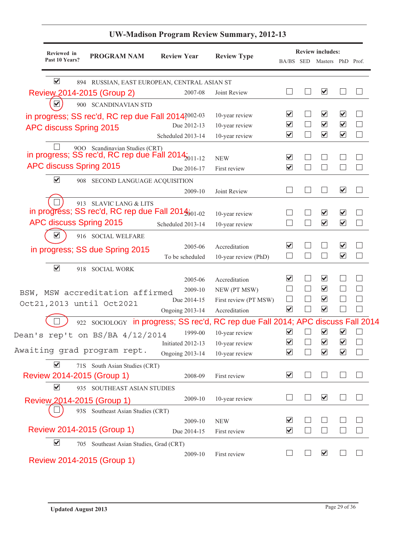|                        | Reviewed in    | <b>PROGRAM NAM</b>                      | <b>Review Year</b>                                                               | <b>Review Type</b>    |                                 |        | <b>Review includes:</b>         |                                 |              |
|------------------------|----------------|-----------------------------------------|----------------------------------------------------------------------------------|-----------------------|---------------------------------|--------|---------------------------------|---------------------------------|--------------|
|                        | Past 10 Years? |                                         |                                                                                  |                       |                                 |        | BA/BS SED Masters PhD Prof.     |                                 |              |
| $\blacktriangledown$   |                |                                         | 894 RUSSIAN, EAST EUROPEAN, CENTRAL ASIAN ST                                     |                       |                                 |        |                                 |                                 |              |
|                        |                | Review 2014-2015 (Group 2)              | 2007-08                                                                          | Joint Review          |                                 |        | $\blacktriangledown$            |                                 |              |
| $\vert\checkmark\vert$ |                | 900 SCANDINAVIAN STD                    |                                                                                  |                       |                                 |        |                                 |                                 |              |
|                        |                |                                         | in progress; SS rec'd, RC rep due Fall 2014?002-03                               | 10-year review        | ⊻                               |        | $\blacktriangledown$            | V                               |              |
|                        |                | APC discuss Spring 2015                 | Due 2012-13                                                                      | 10-year review        | $\overline{\blacktriangledown}$ |        | $\blacktriangledown$            | $\blacktriangledown$            |              |
|                        |                |                                         | Scheduled 2013-14                                                                | 10-year review        | $\overline{\mathbf{v}}$         | $\Box$ | $\overline{\mathbf{v}}$         | ⊻                               |              |
|                        |                | 900 Scandinavian Studies (CRT)          | in progress; SS rec'd, RC rep due Fall 2014;<br>011-12                           | <b>NEW</b>            | $\overline{\mathbf{v}}$         |        |                                 |                                 |              |
|                        |                | APC discuss Spring 2015                 | Due 2016-17                                                                      | First review          | $\overline{\mathbf{v}}$         |        |                                 |                                 |              |
| $\blacktriangledown$   |                | 908 SECOND LANGUAGE ACQUISITION         |                                                                                  |                       |                                 |        |                                 |                                 |              |
|                        |                |                                         | 2009-10                                                                          | Joint Review          | $\mathcal{L}$                   |        | - 1                             | $\overline{\mathbf{v}}$         | $\mathbf{I}$ |
|                        |                | 913 SLAVIC LANG & LITS                  |                                                                                  |                       |                                 |        |                                 |                                 |              |
|                        |                |                                         | in progress; SS rec'd, RC rep due Fall $2014_{001-02}$                           | 10-year review        |                                 |        | ☑                               | V                               |              |
|                        |                | APC discuss Spring 2015                 | Scheduled 2013-14                                                                | 10-year review        |                                 |        | $\blacktriangledown$            | $\blacktriangledown$            |              |
| V                      |                | 916 SOCIAL WELFARE                      |                                                                                  |                       |                                 |        |                                 |                                 |              |
|                        |                |                                         | 2005-06                                                                          | Accreditation         | $\boxed{\blacktriangledown}$    |        |                                 | $\blacktriangledown$            |              |
|                        |                | in progress; SS due Spring 2015         | To be scheduled                                                                  | 10-year review (PhD)  | $\vert \ \ \vert$               | H      | ×.                              | $\blacktriangledown$            |              |
| $\blacktriangledown$   |                | 918 SOCIAL WORK                         |                                                                                  |                       |                                 |        |                                 |                                 |              |
|                        |                |                                         | 2005-06                                                                          | Accreditation         | $\overline{\mathbf{v}}$         |        | $\blacktriangledown$            |                                 |              |
|                        |                | BSW, MSW accreditation affirmed         | 2009-10                                                                          | NEW (PT MSW)          |                                 | $\Box$ | $\blacktriangledown$            |                                 |              |
|                        |                |                                         | Due 2014-15                                                                      | First review (PT MSW) | $\mathbf{I}$                    | ш      | $\blacktriangledown$            |                                 |              |
|                        |                | Oct21,2013 until Oct2021                | <b>Ongoing 2013-14</b>                                                           | Accreditation         | ⊻                               |        | $\blacktriangledown$            |                                 |              |
|                        |                |                                         | 922 SOCIOLOGY in progress; SS rec'd, RC rep due Fall 2014; APC discuss Fall 2014 |                       |                                 |        |                                 |                                 |              |
|                        |                | Dean's rep't on BS/BA $4/12/2014$       | 1999-00                                                                          | 10-year review        | $\overline{\blacktriangledown}$ |        | $\blacktriangledown$            | $\blacktriangledown$            |              |
|                        |                |                                         | Initiated 2012-13                                                                | 10-year review        | $\blacktriangledown$            |        | $\blacktriangledown$            | $\overline{\blacktriangledown}$ |              |
|                        |                | Awaiting grad program rept.             | <b>Ongoing 2013-14</b>                                                           | 10-year review        | $\overline{\blacktriangledown}$ |        | $\overline{\blacktriangledown}$ | $\blacktriangledown$            |              |
| $\blacktriangledown$   |                | 71S South Asian Studies (CRT)           |                                                                                  |                       |                                 |        |                                 |                                 |              |
|                        |                | Review 2014-2015 (Group 1)              | 2008-09                                                                          | First review          | $\overline{\mathbf{v}}$         |        |                                 |                                 |              |
| $\blacktriangledown$   |                | 935 SOUTHEAST ASIAN STUDIES             |                                                                                  |                       |                                 |        |                                 |                                 |              |
|                        |                | Review 2014-2015 (Group 1)              | 2009-10                                                                          | 10-year review        |                                 |        | $\overline{\blacktriangledown}$ |                                 |              |
|                        |                | 93S Southeast Asian Studies (CRT)       |                                                                                  |                       |                                 |        |                                 |                                 |              |
|                        |                |                                         | 2009-10                                                                          | <b>NEW</b>            | $\boxed{\blacktriangledown}$    |        |                                 |                                 |              |
|                        |                | Review 2014-2015 (Group 1)              | Due 2014-15                                                                      | First review          | $\overline{\mathbf{v}}$         |        |                                 |                                 |              |
| $\blacktriangledown$   |                | 705 Southeast Asian Studies, Grad (CRT) |                                                                                  |                       |                                 |        |                                 |                                 |              |
|                        |                |                                         | 2009-10                                                                          | First review          |                                 |        | $\blacktriangledown$            |                                 |              |
|                        |                | Review 2014-2015 (Group 1)              |                                                                                  |                       |                                 |        |                                 |                                 |              |